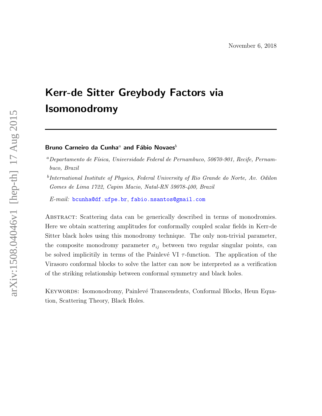# <span id="page-0-0"></span>Kerr-de Sitter Greybody Factors via Isomonodromy

#### Bruno Carneiro da Cunha<sup>a</sup> and Fábio Novaes<sup>b</sup>

<sup>b</sup>International Institute of Physics, Federal University of Rio Grande do Norte, Av. Odilon Gomes de Lima 1722, Capim Macio, Natal-RN 59078-400, Brazil

 $E\text{-}mail:$  [bcunha@df.ufpe.br](mailto:bcunha@df.ufpe.br), [fabio.nsantos@gmail.com](mailto:fabio.nsantos@gmail.com)

Abstract: Scattering data can be generically described in terms of monodromies. Here we obtain scattering amplitudes for conformally coupled scalar fields in Kerr-de Sitter black holes using this monodromy technique. The only non-trivial parameter, the composite monodromy parameter  $\sigma_{ij}$  between two regular singular points, can be solved implicitily in terms of the Painlevé VI  $\tau$ -function. The application of the Virasoro conformal blocks to solve the latter can now be interpreted as a verification of the striking relationship between conformal symmetry and black holes.

KEYWORDS: Isomonodromy, Painlevé Transcendents, Conformal Blocks, Heun Equation, Scattering Theory, Black Holes.

 $a$ Departamento de Física, Universidade Federal de Pernambuco, 50670-901, Recife, Pernambuco, Brazil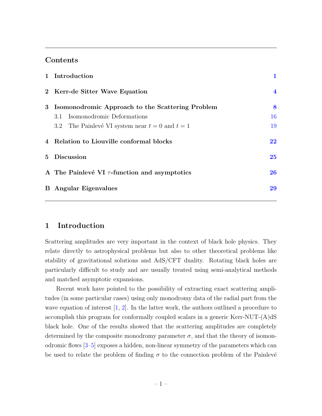## Contents

| 1 Introduction                                      | 1              |
|-----------------------------------------------------|----------------|
| 2 Kerr-de Sitter Wave Equation                      | $\overline{4}$ |
| 3 Isomonodromic Approach to the Scattering Problem  | 8              |
| Isomonodromic Deformations<br>3.1                   | 16             |
| 3.2 The Painlevé VI system near $t = 0$ and $t = 1$ | 19             |
| 4 Relation to Liouville conformal blocks            | 22             |
| 5 Discussion                                        | 25             |
| A The Painlevé VI $\tau$ -function and asymptotics  | 26             |
| <b>B</b> Angular Eigenvalues                        | 29             |
|                                                     |                |

# <span id="page-1-0"></span>1 Introduction

Scattering amplitudes are very important in the context of black hole physics. They relate directly to astrophysical problems but also to other theoretical problems like stability of gravitational solutions and AdS/CFT duality. Rotating black holes are particularly difficult to study and are usually treated using semi-analytical methods and matched asymptotic expansions.

Recent work have pointed to the possibility of extracting exact scattering amplitudes (in some particular cases) using only monodromy data of the radial part from the wave equation of interest  $[1, 2]$  $[1, 2]$ . In the latter work, the authors outlined a procedure to accomplish this program for conformally coupled scalars in a generic Kerr-NUT-(A)dS black hole. One of the results showed that the scattering amplitudes are completely determined by the composite monodromy parameter  $\sigma$ , and that the theory of isomonodromic flows [\[3](#page-31-2)[–5\]](#page-31-3) exposes a hidden, non-linear symmetry of the parameters which can be used to relate the problem of finding  $\sigma$  to the connection problem of the Painlevé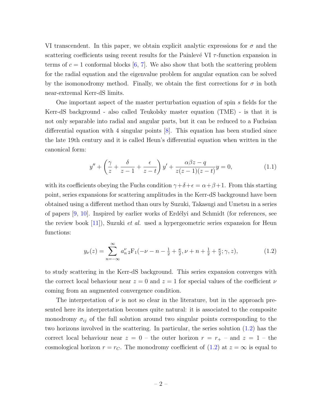VI transcendent. In this paper, we obtain explicit analytic expressions for  $\sigma$  and the scattering coefficients using recent results for the Painlevé VI  $\tau$ -function expansion in terms of  $c = 1$  conformal blocks [\[6,](#page-31-4) [7\]](#page-32-0). We also show that both the scattering problem for the radial equation and the eigenvalue problem for angular equation can be solved by the isomonodromy method. Finally, we obtain the first corrections for  $\sigma$  in both near-extremal Kerr-dS limits.

One important aspect of the master perturbation equation of spin s fields for the Kerr-dS background - also called Teukolsky master equation (TME) - is that it is not only separable into radial and angular parts, but it can be reduced to a Fuchsian differential equation with 4 singular points [\[8\]](#page-32-1). This equation has been studied since the late 19th century and it is called Heun's differential equation when written in the canonical form:

<span id="page-2-1"></span>
$$
y'' + \left(\frac{\gamma}{z} + \frac{\delta}{z - 1} + \frac{\epsilon}{z - t}\right)y' + \frac{\alpha\beta z - q}{z(z - 1)(z - t)}y = 0,\tag{1.1}
$$

with its coefficients obeying the Fuchs condition  $\gamma + \delta + \epsilon = \alpha + \beta + 1$ . From this starting point, series expansions for scattering amplitudes in the Kerr-dS background have been obtained using a different method than ours by Suzuki, Takasugi and Umetsu in a series of papers  $[9, 10]$  $[9, 10]$ . Inspired by earlier works of Erdélyi and Schmidt (for references, see the review book  $[11]$ ), Suzuki *et al.* used a hypergeometric series expansion for Heun functions:

<span id="page-2-0"></span>
$$
y_{\nu}(z) = \sum_{n=-\infty}^{\infty} a_{n}^{\nu} {}_{2}F_{1}(-\nu - n - \frac{1}{2} + \frac{\kappa}{2}, \nu + n + \frac{1}{2} + \frac{\kappa}{2}; \gamma, z), \tag{1.2}
$$

to study scattering in the Kerr-dS background. This series expansion converges with the correct local behaviour near  $z = 0$  and  $z = 1$  for special values of the coefficient  $\nu$ coming from an augmented convergence condition.

The interpretation of  $\nu$  is not so clear in the literature, but in the approach presented here its interpretation becomes quite natural: it is associated to the composite monodromy  $\sigma_{ij}$  of the full solution around two singular points corresponding to the two horizons involved in the scattering. In particular, the series solution [\(1.2\)](#page-2-0) has the correct local behaviour near  $z = 0$  – the outer horizon  $r = r_{+}$  – and  $z = 1$  – the cosmological horizon  $r = r_C$ . The monodromy coefficient of [\(1.2\)](#page-2-0) at  $z = \infty$  is equal to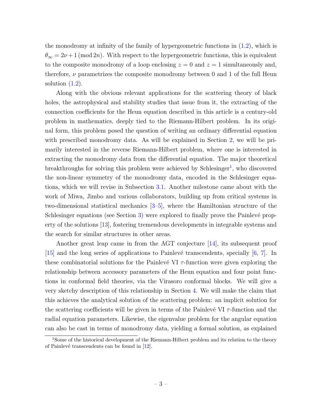the monodromy at infinity of the family of hypergeometric functions in [\(1.2\)](#page-2-0), which is  $\theta_{\infty} = 2\nu + 1 \pmod{2n}$ . With respect to the hypergeometric functions, this is equivalent to the composite monodromy of a loop enclosing  $z = 0$  and  $z = 1$  simultaneously and, therefore,  $\nu$  parametrizes the composite monodromy between 0 and 1 of the full Heun solution  $(1.2)$ .

Along with the obvious relevant applications for the scattering theory of black holes, the astrophysical and stability studies that issue from it, the extracting of the connection coefficients for the Heun equation described in this article is a century-old problem in mathematics, deeply tied to the Riemann-Hilbert problem. In its original form, this problem posed the question of writing an ordinary differential equation with prescribed monodromy data. As will be explained in Section [2,](#page-4-0) we will be primarily interested in the reverse Riemann-Hilbert problem, where one is interested in extracting the monodromy data from the differential equation. The major theoretical breakthroughs for solving this problem were achieved by Schlesinger<sup>[1](#page-0-0)</sup>, who discovered the non-linear symmetry of the monodromy data, encoded in the Schlesinger equations, which we will revise in Subsection [3.1.](#page-16-0) Another milestone came about with the work of Miwa, Jimbo and various collaborators, building up from critical systems in two-dimensional statistical mechanics [\[3–](#page-31-2)[5\]](#page-31-3), where the Hamiltonian structure of the Schlesinger equations (see Section  $3$ ) were explored to finally prove the Painlevé property of the solutions [\[13\]](#page-32-5), fostering tremendous developments in integrable systems and the search for similar structures in other areas.

Another great leap came in from the AGT conjecture [\[14\]](#page-32-6), its subsequent proof [\[15\]](#page-32-7) and the long series of applications to Painlevé transcendents, specially  $[6, 7]$  $[6, 7]$ . In these combinatorial solutions for the Painlevé VI  $\tau$ -function were given exploring the relationship between accessory parameters of the Heun equation and four point functions in conformal field theories, via the Virasoro conformal blocks. We will give a very sketchy description of this relationship in Section [4.](#page-22-0) We will make the claim that this achieves the analytical solution of the scattering problem: an implicit solution for the scattering coefficients will be given in terms of the Painlevé VI  $\tau$ -function and the radial equation parameters. Likewise, the eigenvalue problem for the angular equation can also be cast in terms of monodromy data, yielding a formal solution, as explained

<sup>1</sup>Some of the historical development of the Riemann-Hilbert problem and its relation to the theory of Painlevé transcendents can be found in  $[12]$ .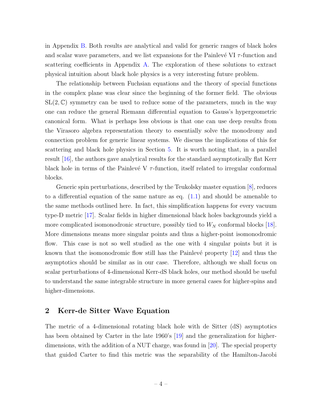in Appendix [B.](#page-29-0) Both results are analytical and valid for generic ranges of black holes and scalar wave parameters, and we list expansions for the Painlevé VI  $\tau$ -function and scattering coefficients in Appendix [A.](#page-26-0) The exploration of these solutions to extract physical intuition about black hole physics is a very interesting future problem.

The relationship between Fuchsian equations and the theory of special functions in the complex plane was clear since the beginning of the former field. The obvious  $SL(2,\mathbb{C})$  symmetry can be used to reduce some of the parameters, much in the way one can reduce the general Riemann differential equation to Gauss's hypergeometric canonical form. What is perhaps less obvious is that one can use deep results from the Virasoro algebra representation theory to essentially solve the monodromy and connection problem for generic linear systems. We discuss the implications of this for scattering and black hole physics in Section [5.](#page-25-0) It is worth noting that, in a parallel result [\[16\]](#page-32-9), the authors gave analytical results for the standard asymptotically flat Kerr black hole in terms of the Painlevé V  $\tau$ -function, itself related to irregular conformal blocks.

Generic spin perturbations, described by the Teukolsky master equation [\[8\]](#page-32-1), reduces to a differential equation of the same nature as eq.  $(1.1)$  and should be amenable to the same methods outlined here. In fact, this simplification happens for every vacuum type-D metric [\[17\]](#page-32-10). Scalar fields in higher dimensional black holes backgrounds yield a more complicated isomonodronic structure, possibly tied to  $W_N$  conformal blocks [\[18\]](#page-32-11). More dimensions means more singular points and thus a higher-point isomonodromic flow. This case is not so well studied as the one with 4 singular points but it is known that the isomonodromic flow still has the Painlevé property  $[12]$  and thus the asymptotics should be similar as in our case. Therefore, although we shall focus on scalar perturbations of 4-dimensional Kerr-dS black holes, our method should be useful to understand the same integrable structure in more general cases for higher-spins and higher-dimensions.

#### <span id="page-4-0"></span>2 Kerr-de Sitter Wave Equation

The metric of a 4-dimensional rotating black hole with de Sitter (dS) asymptotics has been obtained by Carter in the late 1960's [\[19\]](#page-32-12) and the generalization for higherdimensions, with the addition of a NUT charge, was found in [\[20\]](#page-33-0). The special property that guided Carter to find this metric was the separability of the Hamilton-Jacobi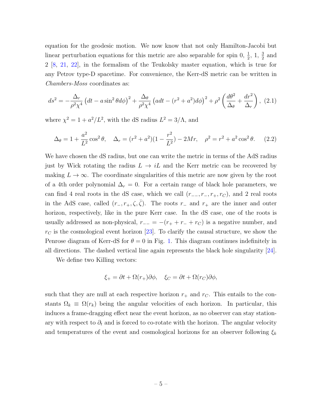equation for the geodesic motion. We now know that not only Hamilton-Jacobi but linear perturbation equations for this metric are also separable for spin 0,  $\frac{1}{2}$ , 1,  $\frac{3}{2}$  and 2 [\[8,](#page-32-1) [21,](#page-33-1) [22\]](#page-33-2), in the formalism of the Teukolsky master equation, which is true for any Petrov type-D spacetime. For convenience, the Kerr-dS metric can be written in Chambers-Moss coordinates as:

<span id="page-5-0"></span>
$$
ds^2 = -\frac{\Delta_r}{\rho^2 \chi^4} \left(dt - a\sin^2\theta d\phi\right)^2 + \frac{\Delta_\theta}{\rho^2 \chi^4} \left(adt - (r^2 + a^2)d\phi\right)^2 + \rho^2 \left(\frac{d\theta^2}{\Delta_\theta} + \frac{dr^2}{\Delta_r}\right), (2.1)
$$

where  $\chi^2 = 1 + a^2/L^2$ , with the dS radius  $L^2 = 3/\Lambda$ , and

$$
\Delta_{\theta} = 1 + \frac{a^2}{L^2} \cos^2 \theta, \quad \Delta_r = (r^2 + a^2)(1 - \frac{r^2}{L^2}) - 2Mr, \quad \rho^2 = r^2 + a^2 \cos^2 \theta. \tag{2.2}
$$

We have chosen the dS radius, but one can write the metric in terms of the AdS radius just by Wick rotating the radius  $L \to iL$  and the Kerr metric can be recovered by making  $L \to \infty$ . The coordinate singularities of this metric are now given by the root of a 4th order polynomial  $\Delta_r = 0$ . For a certain range of black hole parameters, we can find 4 real roots in the dS case, which we call  $(r_{-}, r_{-}, r_{+}, r_{C})$ , and 2 real roots in the AdS case, called  $(r_-, r_+, \zeta, \bar{\zeta})$ . The roots r<sub>−</sub> and r<sub>+</sub> are the inner and outer horizon, respectively, like in the pure Kerr case. In the dS case, one of the roots is usually addressed as non-physical,  $r_{-+} = -(r_+ + r_- + r_C)$  is a negative number, and  $r<sub>C</sub>$  is the cosmological event horizon [\[23\]](#page-33-3). To clarify the causal structure, we show the Penrose diagram of Kerr-dS for  $\theta = 0$  in Fig. [1.](#page-6-0) This diagram continues indefinitely in all directions. The dashed vertical line again represents the black hole singularity [\[24\]](#page-33-4).

We define two Killing vectors:

$$
\xi_{+} = \partial t + \Omega(r_{+})\partial\phi, \quad \xi_{C} = \partial t + \Omega(r_{C})\partial\phi,
$$

such that they are null at each respective horizon  $r_+$  and  $r_C$ . This entails to the constants  $\Omega_k \equiv \Omega(r_k)$  being the angular velocities of each horizon. In particular, this induces a frame-dragging effect near the event horizon, as no observer can stay stationary with respect to  $\partial_t$  and is forced to co-rotate with the horizon. The angular velocity and temperatures of the event and cosmological horizons for an observer following  $\xi_k$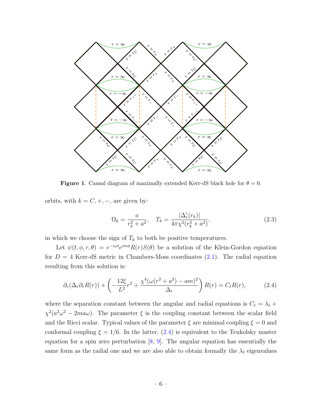

<span id="page-6-0"></span>**Figure 1.** Causal diagram of maximally extended Kerr-dS black hole for  $\theta = 0$ .

orbits, with  $k = C, +, -,$  are given by:

<span id="page-6-1"></span>
$$
\Omega_k = \frac{a}{r_k^2 + a^2}, \quad T_k = \frac{|\Delta_r'(r_k)|}{4\pi \chi^2 (r_k^2 + a^2)},\tag{2.3}
$$

in which we choose the sign of  $T_k$  to both be positive temperatures.

Let  $\psi(t,\phi,r,\theta) = e^{-i\omega t}e^{im\phi}R(r)S(\theta)$  be a solution of the Klein-Gordon equation for  $D = 4$  Kerr-dS metric in Chambers-Moss coordinates  $(2.1)$ . The radial equation resulting from this solution is:

$$
\partial_r(\Delta_r \partial_r R(r)) + \left(-\frac{12\xi}{L^2}r^2 + \frac{\chi^4(\omega(r^2 + a^2) - am)^2}{\Delta_r}\right)R(r) = C_\ell R(r),\tag{2.4}
$$

where the separation constant between the angular and radial equations is  $C_{\ell} = \lambda_{\ell} +$  $\chi^2(a^2\omega^2 - 2ma\omega)$ . The parameter  $\xi$  is the coupling constant between the scalar field and the Ricci scalar. Typical values of the parameter  $\xi$  are minimal coupling  $\xi = 0$  and conformal coupling  $\xi = 1/6$ . In the latter,  $(2.4)$  is equivalent to the Teukolsky master equation for a spin zero perturbation  $[8, 9]$  $[8, 9]$ . The angular equation has essentially the same form as the radial one and we are also able to obtain formally the  $\lambda_{\ell}$  eigenvalues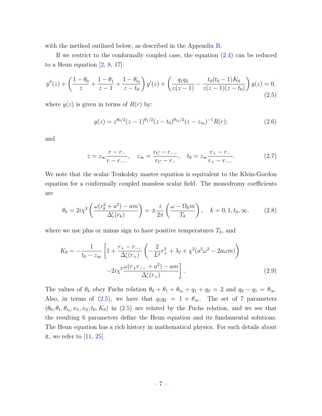with the method outlined below, as described in the Appendix [B.](#page-29-0)

If we restrict to the conformally coupled case, the equation  $(2.4)$  can be reduced to a Heun equation  $[2, 8, 17]$  $[2, 8, 17]$  $[2, 8, 17]$  $[2, 8, 17]$ :

<span id="page-7-0"></span>
$$
y''(z) + \left(\frac{1-\theta_0}{z} + \frac{1-\theta_1}{z-1} + \frac{1-\theta_{t_0}}{z-t_0}\right)y'(z) + \left(\frac{q_1q_2}{z(z-1)} - \frac{t_0(t_0-1)K_0}{z(z-1)(z-t_0)}\right)y(z) = 0,
$$
\n(2.5)

where  $y(z)$  is given in terms of  $R(r)$  by:

<span id="page-7-4"></span><span id="page-7-3"></span>
$$
y(z) = z^{\theta_0/2} (z-1)^{\theta_1/2} (z-t_0)^{\theta_{t_0}/2} (z-z_{\infty})^{-1} R(r);
$$
\n(2.6)

and

<span id="page-7-1"></span>
$$
z = z_{\infty} \frac{r - r_{-}}{r - r_{-}}, \quad z_{\infty} = \frac{r_{C} - r_{-}}{r_{C} - r_{-}}, \quad t_{0} = z_{\infty} \frac{r_{+} - r_{-}}{r_{+} - r_{-}}.
$$
 (2.7)

We note that the scalar Teukolsky master equation is equivalent to the Klein-Gordon equation for a conformally coupled massless scalar field. The monodromy coefficients are

$$
\theta_k = 2i\chi^2 \left( \frac{\omega(r_k^2 + a^2) - am}{\Delta_r'(r_k)} \right) = \pm \frac{i}{2\pi} \left( \frac{\omega - \Omega_k m}{T_k} \right), \quad k = 0, 1, t_0, \infty,
$$
\n(2.8)

where we use plus or minus sign to have positive temperatures  $T_k$ , and

<span id="page-7-2"></span>
$$
K_0 = -\frac{1}{t_0 - z_{\infty}} \left[ 1 + \frac{r_+ - r_{--}}{\Delta_r'(r_+)} \left( -\frac{2}{L^2} r_+^2 + \lambda_\ell + \chi^2 (a^2 \omega^2 - 2a\omega m) \right) - 2i\chi^2 \frac{\omega(r_+ - r_+ + a^2) - am}{\Delta_r'(r_+)} \right].
$$
\n(2.9)

The values of  $\theta_k$  obey Fuchs relation  $\theta_0 + \theta_1 + \theta_{t_0} + q_1 + q_2 = 2$  and  $q_2 - q_1 = \theta_{\infty}$ . Also, in terms of [\(2.5\)](#page-7-0), we have that  $q_1q_2 = 1 + \theta_\infty$ . The set of 7 parameters  $(\theta_0, \theta_1, \theta_{t_0}, \kappa_1, \kappa_2; t_0, K_0)$  in  $(2.5)$  are related by the Fuchs relation, and we see that the resulting 6 parameters define the Heun equation and its fundamental solutions. The Heun equation has a rich history in mathematical physics. For such details about it, we refer to  $[11, 25]$  $[11, 25]$ .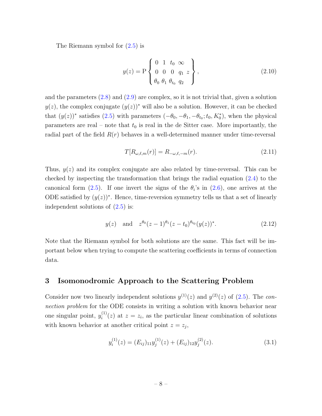The Riemann symbol for [\(2.5\)](#page-7-0) is

$$
y(z) = P\left\{\begin{array}{ccc} 0 & 1 & t_0 \infty \\ 0 & 0 & 0 & q_1 z \\ \theta_0 & \theta_1 & \theta_{t_0} & q_2 \end{array}\right\},
$$
\n(2.10)

and the parameters  $(2.8)$  and  $(2.9)$  are complex, so it is not trivial that, given a solution  $y(z)$ , the complex conjugate  $(y(z))^*$  will also be a solution. However, it can be checked that  $(y(z))^*$  satisfies [\(2.5\)](#page-7-0) with parameters  $(-\theta_0, -\theta_1, -\theta_{t_0}; t_0, K_0^*)$ , when the physical parameters are real – note that  $t_0$  is real in the de Sitter case. More importantly, the radial part of the field  $R(r)$  behaves in a well-determined manner under time-reversal

$$
T[R_{\omega,\ell,m}(r)] = R_{-\omega,\ell,-m}(r). \tag{2.11}
$$

Thus,  $y(z)$  and its complex conjugate are also related by time-reversal. This can be checked by inspecting the transformation that brings the radial equation [\(2.4\)](#page-6-1) to the canonical form [\(2.5\)](#page-7-0). If one invert the signs of the  $\theta_i$ 's in [\(2.6\)](#page-7-3), one arrives at the ODE satisfied by  $(y(z))^*$ . Hence, time-reversion symmetry tells us that a set of linearly independent solutions of [\(2.5\)](#page-7-0) is:

$$
y(z)
$$
 and  $z^{\theta_0}(z-1)^{\theta_1}(z-t_0)^{\theta_{t_0}}(y(z))^*$ . (2.12)

Note that the Riemann symbol for both solutions are the same. This fact will be important below when trying to compute the scattering coefficients in terms of connection data.

## <span id="page-8-0"></span>3 Isomonodromic Approach to the Scattering Problem

Consider now two linearly independent solutions  $y^{(1)}(z)$  and  $y^{(2)}(z)$  of [\(2.5\)](#page-7-0). The connection problem for the ODE consists in writing a solution with known behavior near one singular point,  $y_i^{(1)}$  $i^{(1)}(z)$  at  $z = z_i$ , as the particular linear combination of solutions with known behavior at another critical point  $z = z_j$ ,

$$
y_i^{(1)}(z) = (E_{ij})_{11} y_j^{(1)}(z) + (E_{ij})_{12} y_j^{(2)}(z).
$$
\n(3.1)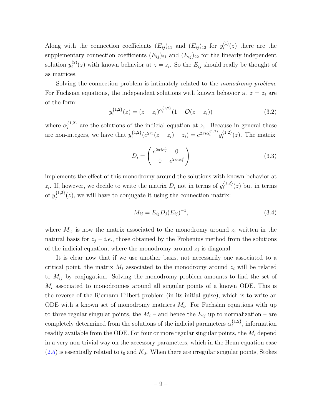Along with the connection coefficients  $(E_{ij})_{11}$  and  $(E_{ij})_{12}$  for  $y_i^{(1)}$  $i^{(1)}(z)$  there are the supplementary connection coefficients  $(E_{ij})_{21}$  and  $(E_{ij})_{22}$  for the linearly independent solution  $y_i^{(2)}$  $i^{(2)}(z)$  with known behavior at  $z = z_i$ . So the  $E_{ij}$  should really be thought of as matrices.

Solving the connection problem is intimately related to the monodromy problem. For Fuchsian equations, the independent solutions with known behavior at  $z = z_i$  are of the form:

$$
y_i^{\{1,2\}}(z) = (z - z_i)^{\alpha_i^{\{1,2\}}}(1 + \mathcal{O}(z - z_i))
$$
\n(3.2)

where  $\alpha_i^{\{1,2\}}$  $i^{1,2}$  are the solutions of the indicial equation at  $z_i$ . Because in general these are non-integers, we have that  $y_i^{\{1,2\}}$  $i^{1,2} (e^{2\pi i}(z-z_i) + z_i) = e^{2\pi i \alpha_i^{1,2}} y_i^{1,2}$  $i^{1,2}$  $(z)$ . The matrix

$$
D_i = \begin{pmatrix} e^{2\pi i \alpha_i^1} & 0\\ 0 & e^{2\pi i \alpha_i^2} \end{pmatrix}
$$
 (3.3)

implements the effect of this monodromy around the solutions with known behavior at  $z_i$ . If, however, we decide to write the matrix  $D_i$  not in terms of  $y_i^{\{1,2\}}$  $i^{1,2}$  $(z)$  but in terms of  $y_i^{\{1,2\}}$  $j_j^{\{1,2\}}(z)$ , we will have to conjugate it using the connection matrix:

$$
M_{ij} = E_{ij} D_j (E_{ij})^{-1}, \tag{3.4}
$$

where  $M_{ij}$  is now the matrix associated to the monodromy around  $z_i$  written in the natural basis for  $z_j - i.e.,$  those obtained by the Frobenius method from the solutions of the indicial equation, where the monodromy around  $z_j$  is diagonal.

It is clear now that if we use another basis, not necessarily one associated to a critical point, the matrix  $M_i$  associated to the monodromy around  $z_i$  will be related to  $M_{ij}$  by conjugation. Solving the monodromy problem amounts to find the set of  $M_i$  associated to monodromies around all singular points of a known ODE. This is the reverse of the Riemann-Hilbert problem (in its initial guise), which is to write an ODE with a known set of monodromy matrices  $M_i$ . For Fuchsian equations with up to three regular singular points, the  $M_i$  – and hence the  $E_{ij}$  up to normalization – are completely determined from the solutions of the indicial parameters  $\alpha_i^{\{1,2\}}$  $i^{1,2}$ , information readily available from the ODE. For four or more regular singular points, the  $M_i$  depend in a very non-trivial way on the accessory parameters, which in the Heun equation case  $(2.5)$  is essentially related to  $t_0$  and  $K_0$ . When there are irregular singular points, Stokes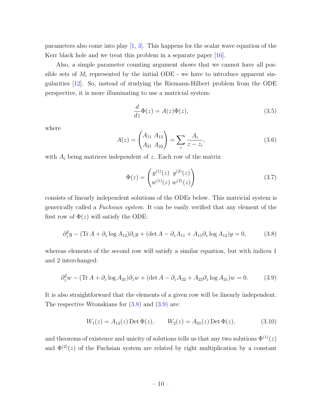parameters also come into play  $[1, 3]$  $[1, 3]$ . This happens for the scalar wave equation of the Kerr black hole and we treat this problem in a separate paper [\[16\]](#page-32-9).

Also, a simple parameter counting argument shows that we cannot have all possible sets of  $M_i$  represented by the initial ODE - we have to introduce apparent singularities [\[12\]](#page-32-8). So, instead of studying the Riemann-Hilbert problem from the ODE perspective, it is more illuminating to use a matricial system:

<span id="page-10-2"></span>
$$
\frac{d}{dz}\Phi(z) = A(z)\Phi(z),\tag{3.5}
$$

where

$$
A(z) = \begin{pmatrix} A_{11} & A_{12} \\ A_{21} & A_{22} \end{pmatrix} = \sum_{i} \frac{A_i}{z - z_i},
$$
\n(3.6)

with  $A_i$  being matrices independent of z. Each row of the matrix

$$
\Phi(z) = \begin{pmatrix} y^{(1)}(z) & y^{(2)}(z) \\ w^{(1)}(z) & w^{(2)}(z) \end{pmatrix} \tag{3.7}
$$

consists of linearly independent solutions of the ODEs below. This matricial system is generically called a Fuchsian system. It can be easily verified that any element of the first row of  $\Phi(z)$  will satisfy the ODE:

<span id="page-10-0"></span>
$$
\partial_z^2 y - (\text{Tr}\,A + \partial_z \log A_{12}) \partial_z y + (\det A - \partial_z A_{11} + A_{11} \partial_z \log A_{12}) y = 0,\tag{3.8}
$$

whereas elements of the second row will satisfy a similar equation, but with indices 1 and 2 interchanged:

<span id="page-10-1"></span>
$$
\partial_z^2 w - (\text{Tr} \, A + \partial_z \log A_{21}) \partial_z w + (\det A - \partial_z A_{22} + A_{22} \partial_z \log A_{21}) w = 0. \tag{3.9}
$$

It is also straightforward that the elements of a given row will be linearly independent. The respective Wronskians for  $(3.8)$  and  $(3.9)$  are:

$$
W_1(z) = A_{12}(z) \operatorname{Det} \Phi(z), \qquad W_2(z) = A_{21}(z) \operatorname{Det} \Phi(z), \tag{3.10}
$$

and theorems of existence and unicity of solutions tells us that any two solutions  $\Phi^{(1)}(z)$ and  $\Phi^{(2)}(z)$  of the Fuchsian system are related by right multiplication by a constant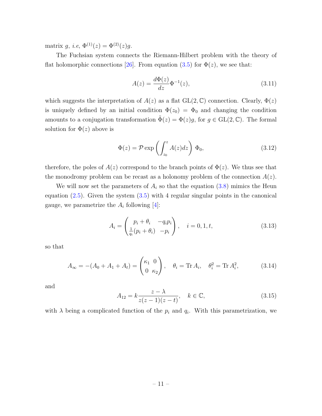matrix g, i.e,  $\Phi^{(1)}(z) = \Phi^{(2)}(z)g$ .

The Fuchsian system connects the Riemann-Hilbert problem with the theory of flat holomorphic connections [\[26\]](#page-33-6). From equation [\(3.5\)](#page-10-2) for  $\Phi(z)$ , we see that:

$$
A(z) = \frac{d\Phi(z)}{dz} \Phi^{-1}(z),
$$
\n(3.11)

which suggests the interpretation of  $A(z)$  as a flat  $GL(2,\mathbb{C})$  connection. Clearly,  $\Phi(z)$ is uniquely defined by an initial condition  $\Phi(z_0) = \Phi_0$  and changing the condition amounts to a conjugation transformation  $\tilde{\Phi}(z) = \Phi(z)g$ , for  $g \in GL(2, \mathbb{C})$ . The formal solution for  $\Phi(z)$  above is

$$
\Phi(z) = \mathcal{P} \exp\left(\int_{z_0}^z A(z)dz\right) \Phi_0,\tag{3.12}
$$

therefore, the poles of  $A(z)$  correspond to the branch points of  $\Phi(z)$ . We thus see that the monodromy problem can be recast as a holonomy problem of the connection  $A(z)$ .

We will now set the parameters of  $A_i$  so that the equation  $(3.8)$  mimics the Heun equation  $(2.5)$ . Given the system  $(3.5)$  with 4 regular singular points in the canonical gauge, we parametrize the  $A_i$  following [\[4\]](#page-31-5):

<span id="page-11-0"></span>
$$
A_i = \begin{pmatrix} p_i + \theta_i & -q_i p_i \\ \frac{1}{q_i}(p_i + \theta_i) & -p_i \end{pmatrix}, \quad i = 0, 1, t,
$$
\n(3.13)

so that

<span id="page-11-1"></span>
$$
A_{\infty} = -(A_0 + A_1 + A_t) = \begin{pmatrix} \kappa_1 & 0 \\ 0 & \kappa_2 \end{pmatrix}, \quad \theta_i = \text{Tr } A_i, \quad \theta_i^2 = \text{Tr } A_i^2,
$$
 (3.14)

and

<span id="page-11-2"></span>
$$
A_{12} = k \frac{z - \lambda}{z(z - 1)(z - t)}, \quad k \in \mathbb{C},
$$
\n(3.15)

with  $\lambda$  being a complicated function of the  $p_i$  and  $q_i$ . With this parametrization, we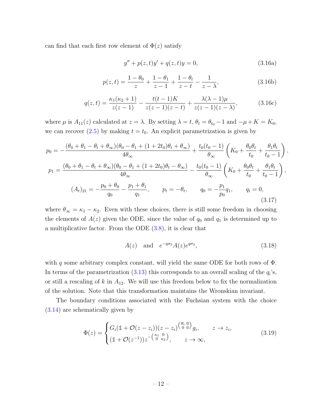can find that each first row element of  $\Phi(z)$  satisfy

<span id="page-12-0"></span>
$$
y'' + p(z, t)y' + q(z, t)y = 0,
$$
\n(3.16a)

$$
p(z,t) = \frac{1 - \theta_0}{z} + \frac{1 - \theta_1}{z - 1} + \frac{1 - \theta_t}{z - t} - \frac{1}{z - \lambda},
$$
\n(3.16b)

$$
q(z,t) = \frac{\kappa_1(\kappa_2 + 1)}{z(z-1)} - \frac{t(t-1)K}{z(z-1)(z-t)} + \frac{\lambda(\lambda - 1)\mu}{z(z-1)(z-\lambda)},
$$
(3.16c)

where  $\mu$  is  $A_{11}(z)$  calculated at  $z = \lambda$ . By setting  $\lambda = t$ ,  $\theta_t = \theta_{t_0} - 1$  and  $-\mu + K = K_0$ , we can recover [\(2.5\)](#page-7-0) by making  $t = t_0$ . An explicit parametrization is given by

$$
p_0 = -\frac{(\theta_0 + \theta_1 - \theta_t + \theta_\infty)(\theta_0 - \theta_1 + (1 + 2t_0)\theta_t + \theta_\infty)}{4\theta_\infty} + \frac{t_0(t_0 - 1)}{\theta_\infty} \left(K_0 + \frac{\theta_0 \theta_t}{t_0} + \frac{\theta_1 \theta_t}{t_0 - 1}\right),
$$
  
\n
$$
p_1 = \frac{(\theta_0 + \theta_1 - \theta_t + \theta_\infty)(\theta_0 - \theta_1 + (1 + 2t_0)\theta_t - \theta_\infty)}{4\theta_\infty} - \frac{t_0(t_0 - 1)}{\theta_\infty} \left(K_0 + \frac{\theta_0 \theta_t}{t_0} + \frac{\theta_1 \theta_t}{t_0 - 1}\right),
$$
  
\n
$$
(A_t)_{21} = -\frac{p_0 + \theta_0}{q_0} - \frac{p_1 + \theta_1}{q_1}, \qquad p_t = -\theta_t, \qquad q_0 = -\frac{p_1}{p_0}q_1, \qquad q_t = 0,
$$
  
\n(3.17)

where  $\theta_{\infty} = \kappa_1 - \kappa_2$ . Even with these choices, there is still some freedom in choosing the elements of  $A(z)$  given the ODE, since the value of  $q_0$  and  $q_1$  is determined up to a multiplicative factor. From the ODE [\(3.8\)](#page-10-0), it is clear that

$$
A(z) \quad \text{and} \quad e^{-q\sigma_3} A(z) e^{q\sigma_3}, \tag{3.18}
$$

with q some arbitrary complex constant, will yield the same ODE for both rows of  $\Phi$ . In terms of the parametrization  $(3.13)$  this corresponds to an overall scaling of the  $q_i$ 's, or still a rescaling of k in  $A_{12}$ . We will use this freedom below to fix the normalization of the solution. Note that this transformation maintains the Wronskian invariant.

The boundary conditions associated with the Fuchsian system with the choice [\(3.14\)](#page-11-1) are schematically given by

$$
\Phi(z) = \begin{cases} G_i(\mathbb{1} + \mathcal{O}(z - z_i))(z - z_i)^{\left(\begin{smallmatrix} \theta_i & 0 \\ 0 & 0 \end{smallmatrix}\right)} g_i, & z \to z_i, \\ (\mathbb{1} + \mathcal{O}(z^{-1})) z^{-\left(\begin{smallmatrix} \kappa_1 & 0 \\ 0 & \kappa_2 \end{smallmatrix}\right)}, & z \to \infty, \end{cases}
$$
\n(3.19)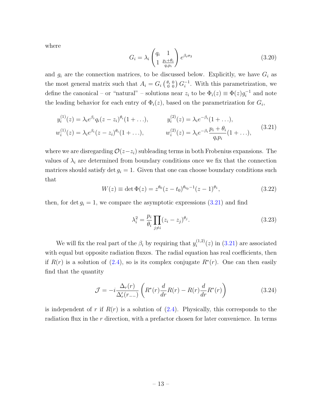where

$$
G_i = \lambda_i \begin{pmatrix} q_i & 1\\ 1 & \frac{p_i + \theta_i}{q_i p_i} \end{pmatrix} e^{\beta_i \sigma_3} \tag{3.20}
$$

and  $g_i$  are the connection matrices, to be discussed below. Explicitly, we have  $G_i$  as the most general matrix such that  $A_i = G_i \begin{pmatrix} \theta_i & 0 \\ 0 & 0 \end{pmatrix} G_i^{-1}$  $i^{\text{-}1}$ . With this parametrization, we define the canonical – or "natural" – solutions near  $z_i$  to be  $\Phi_i(z) \equiv \Phi(z) g_i^{-1}$  $i^{-1}$  and note the leading behavior for each entry of  $\Phi_i(z)$ , based on the parametrization for  $G_i$ ,

<span id="page-13-0"></span>
$$
y_i^{(1)}(z) = \lambda_i e^{\beta_i} q_i (z - z_i)^{\theta_i} (1 + \ldots), \qquad y_i^{(2)}(z) = \lambda_i e^{-\beta_i} (1 + \ldots),
$$
  
\n
$$
w_i^{(1)}(z) = \lambda_i e^{\beta_i} (z - z_i)^{\theta_i} (1 + \ldots), \qquad w_i^{(2)}(z) = \lambda_i e^{-\beta_i} \frac{p_i + \theta_i}{q_i p_i} (1 + \ldots),
$$
\n(3.21)

where we are disregarding  $\mathcal{O}(z-z_i)$  subleading terms in both Frobenius expansions. The values of  $\lambda_i$  are determined from boundary conditions once we fix that the connection matrices should satisfy det  $g_i = 1$ . Given that one can choose boundary conditions such that

$$
W(z) \equiv \det \Phi(z) = z^{\theta_0} (z - t_0)^{\theta_{t_0} - 1} (z - 1)^{\theta_1},
$$
\n(3.22)

then, for det  $g_i = 1$ , we compare the asymptotic expressions  $(3.21)$  and find

$$
\lambda_i^2 = \frac{p_i}{\theta_i} \prod_{j \neq i} (z_i - z_j)^{\theta_j}.
$$
\n(3.23)

We will fix the real part of the  $\beta_i$  by requiring that  $y_i^{(1,2)}$  $i_i^{(1,2)}(z)$  in  $(3.21)$  are associated with equal but opposite radiation fluxes. The radial equation has real coefficients, then if  $R(r)$  is a solution of [\(2.4\)](#page-6-1), so is its complex conjugate  $R^*(r)$ . One can then easily find that the quantity

<span id="page-13-1"></span>
$$
\mathcal{J} = -i \frac{\Delta_r(r)}{\Delta'_r(r_{--})} \left( R^*(r) \frac{d}{dr} R(r) - R(r) \frac{d}{dr} R^*(r) \right) \tag{3.24}
$$

is independent of r if  $R(r)$  is a solution of [\(2.4\)](#page-6-1). Physically, this corresponds to the radiation flux in the r direction, with a prefactor chosen for later convenience. In terms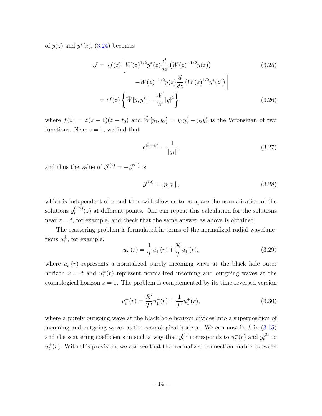of  $y(z)$  and  $y^*(z)$ , [\(3.24\)](#page-13-1) becomes

$$
\mathcal{J} = i f(z) \left[ W(z)^{1/2} y^*(z) \frac{d}{dz} \left( W(z)^{-1/2} y(z) \right) - W(z)^{-1/2} y(z) \frac{d}{dz} \left( W(z)^{1/2} y^*(z) \right) \right]
$$
\n
$$
= i f(z) \left\{ \hat{W}[y, y^*] - \frac{W'}{W} |y|^2 \right\}
$$
\n(3.26)

where  $f(z) = z(z-1)(z-t_0)$  and  $\hat{W}[y_1, y_2] = y_1y_2' - y_2y_1'$  is the Wronskian of two functions. Near  $z = 1$ , we find that

$$
e^{\beta_1 + \beta_1^*} = \frac{1}{|q_1|},\tag{3.27}
$$

and thus the value of  $\mathcal{J}^{(2)} = -\mathcal{J}^{(1)}$  is

$$
\mathcal{J}^{(2)} = |p_1 q_1| \,, \tag{3.28}
$$

which is independent of  $z$  and then will allow us to compare the normalization of the solutions  $y_i^{(1,2)}$  $i_i^{(1,2)}(z)$  at different points. One can repeat this calculation for the solutions near  $z = t$ , for example, and check that the same answer as above is obtained.

The scattering problem is formulated in terms of the normalized radial wavefunctions  $u_i^{\pm}$  $\frac{1}{i}$ , for example,

$$
u_t^-(r) = \frac{1}{\mathcal{T}} u_1^-(r) + \frac{\mathcal{R}}{\mathcal{T}} u_1^+(r),\tag{3.29}
$$

where  $u_t^-(r)$  represents a normalized purely incoming wave at the black hole outer horizon  $z = t$  and  $u_1^{\pm}(r)$  represent normalized incoming and outgoing waves at the cosmological horizon  $z = 1$ . The problem is complemented by its time-reversed version

$$
u_t^+(r) = \frac{\mathcal{R}'}{\mathcal{T}'} u_1^-(r) + \frac{1}{\mathcal{T}'} u_1^+(r),\tag{3.30}
$$

where a purely outgoing wave at the black hole horizon divides into a superposition of incoming and outgoing waves at the cosmological horizon. We can now fix  $k$  in  $(3.15)$ and the scattering coefficients in such a way that  $y_t^{(1)}$  $u_t^{(1)}$  corresponds to  $u_t^-(r)$  and  $y_t^{(2)}$  $t^{(2)}$  to  $u_t^+(r)$ . With this provision, we can see that the normalized connection matrix between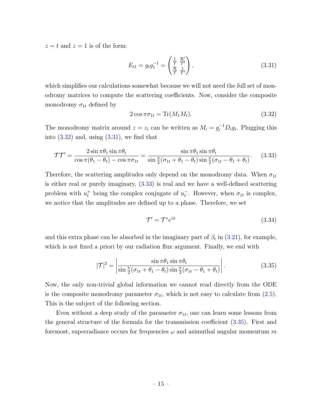$z = t$  and  $z = 1$  is of the form:

<span id="page-15-1"></span>
$$
E_{t1} = g_t g_1^{-1} = \begin{pmatrix} \frac{1}{\mathcal{T}} & \frac{\mathcal{R}'}{\mathcal{T}'} \\ \frac{\mathcal{R}}{\mathcal{T}} & \frac{1}{\mathcal{T}'} \end{pmatrix},\tag{3.31}
$$

which simplifies our calculations somewhat because we will not need the full set of monodromy matrices to compute the scattering coefficients. Now, consider the composite monodromy  $\sigma_{1t}$  defined by

<span id="page-15-0"></span>
$$
2\cos\pi\sigma_{1t} = \text{Tr}(M_1M_t). \tag{3.32}
$$

The monodromy matrix around  $z = z_i$  can be written as  $M_i = g_i^{-1} D_i g_i$ . Plugging this into  $(3.32)$  and, using  $(3.31)$ , we find that

<span id="page-15-2"></span>
$$
\mathcal{TT}' = \frac{2\sin\pi\theta_1\sin\pi\theta_t}{\cos\pi(\theta_1 - \theta_t) - \cos\pi\sigma_{1t}} = \frac{\sin\pi\theta_1\sin\pi\theta_t}{\sin\frac{\pi}{2}(\sigma_{1t} + \theta_1 - \theta_t)\sin\frac{\pi}{2}(\sigma_{1t} - \theta_1 + \theta_t)}.
$$
(3.33)

Therefore, the scattering amplitudes only depend on the monodromy data. When  $\sigma_{1t}$ is either real or purely imaginary, [\(3.33\)](#page-15-2) is real and we have a well-defined scattering problem with  $u_t^+$  being the complex conjugate of  $u_t^-$ . However, when  $\sigma_{1t}$  is complex, we notice that the amplitudes are defined up to a phase. Therefore, we set

$$
\mathcal{T}' = \mathcal{T}^* e^{i\phi} \tag{3.34}
$$

and this extra phase can be absorbed in the imaginary part of  $\beta_t$  in  $(3.21)$ , for example, which is not fixed a priori by our radiation flux argument. Finally, we end with

<span id="page-15-3"></span>
$$
|\mathcal{T}|^2 = \left| \frac{\sin \pi \theta_1 \sin \pi \theta_t}{\sin \frac{\pi}{2} (\sigma_{1t} + \theta_1 - \theta_t) \sin \frac{\pi}{2} (\sigma_{1t} - \theta_1 + \theta_t)} \right|.
$$
(3.35)

Now, the only non-trivial global information we cannot read directly from the ODE is the composite monodromy parameter  $\sigma_{1t}$ , which is not easy to calculate from [\(2.5\)](#page-7-0). This is the subject of the following section.

Even without a deep study of the parameter  $\sigma_{1t}$ , one can learn some lessons from the general structure of the formula for the transmission coefficient [\(3.35\)](#page-15-3). First and foremost, superradiance occurs for frequencies  $\omega$  and azimuthal angular momentum m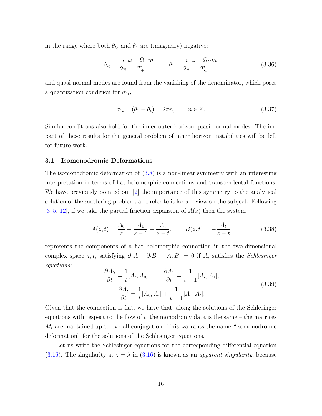in the range where both  $\theta_{t_0}$  and  $\theta_1$  are (imaginary) negative:

$$
\theta_{t_0} = \frac{i}{2\pi} \frac{\omega - \Omega_+ m}{T_+}, \qquad \theta_1 = \frac{i}{2\pi} \frac{\omega - \Omega_C m}{T_C}
$$
(3.36)

and quasi-normal modes are found from the vanishing of the denominator, which poses a quantization condition for  $\sigma_{1t}$ ,

$$
\sigma_{1t} \pm (\theta_1 - \theta_t) = 2\pi n, \qquad n \in \mathbb{Z}.
$$
\n(3.37)

Similar conditions also hold for the inner-outer horizon quasi-normal modes. The impact of these results for the general problem of inner horizon instabilities will be left for future work.

#### <span id="page-16-0"></span>3.1 Isomonodromic Deformations

The isomonodromic deformation of  $(3.8)$  is a non-linear symmetry with an interesting interpretation in terms of flat holomorphic connections and transcendental functions. We have previously pointed out [\[2\]](#page-31-1) the importance of this symmetry to the analytical solution of the scattering problem, and refer to it for a review on the subject. Following  $[3-5, 12]$  $[3-5, 12]$  $[3-5, 12]$  $[3-5, 12]$ , if we take the partial fraction expansion of  $A(z)$  then the system

$$
A(z,t) = \frac{A_0}{z} + \frac{A_1}{z - 1} + \frac{A_t}{z - t}, \qquad B(z,t) = -\frac{A_t}{z - t}
$$
(3.38)

represents the components of a flat holomorphic connection in the two-dimensional complex space z, t, satisfying  $\partial_z A - \partial_t B - [A, B] = 0$  if  $A_i$  satisfies the *Schlesinger* equations:

$$
\frac{\partial A_0}{\partial t} = \frac{1}{t} [A_t, A_0], \qquad \frac{\partial A_1}{\partial t} = \frac{1}{t-1} [A_t, A_1],
$$
\n
$$
\frac{\partial A_t}{\partial t} = \frac{1}{t} [A_0, A_t] + \frac{1}{t-1} [A_1, A_t].
$$
\n(3.39)

Given that the connection is flat, we have that, along the solutions of the Schlesinger equations with respect to the flow of  $t$ , the monodromy data is the same – the matrices  $M_i$  are mantained up to overall conjugation. This warrants the name "isomonodromic deformation" for the solutions of the Schlesinger equations.

Let us write the Schlesinger equations for the corresponding differential equation [\(3.16\)](#page-12-0). The singularity at  $z = \lambda$  in [\(3.16\)](#page-12-0) is known as an apparent singularity, because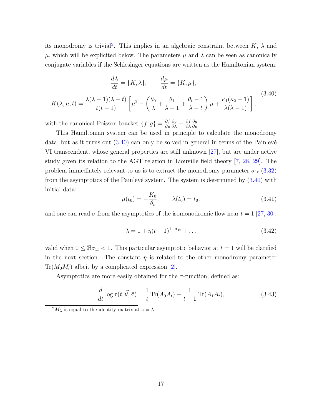its monodromy is trivial<sup>[2](#page-0-0)</sup>. This implies in an algebraic constraint between  $K$ ,  $\lambda$  and  $\mu$ , which will be explicited below. The parameters  $\mu$  and  $\lambda$  can be seen as canonically conjugate variables if the Schlesinger equations are written as the Hamiltonian system:

<span id="page-17-0"></span>
$$
\frac{d\lambda}{dt} = \{K, \lambda\}, \qquad \frac{d\mu}{dt} = \{K, \mu\},
$$
\n
$$
K(\lambda, \mu, t) = \frac{\lambda(\lambda - 1)(\lambda - t)}{t(t - 1)} \left[ \mu^2 - \left(\frac{\theta_0}{\lambda} + \frac{\theta_1}{\lambda - 1} + \frac{\theta_t - 1}{\lambda - t}\right) \mu + \frac{\kappa_1(\kappa_2 + 1)}{\lambda(\lambda - 1)} \right],
$$
\n(3.40)

with the canonical Poisson bracket  $\{f, g\} = \frac{\partial f}{\partial u}$  $\partial \mu$  $\frac{\partial g}{\partial \lambda} - \frac{\partial f}{\partial \lambda}$ ∂λ  $\frac{\partial g}{\partial \mu}$ .

This Hamiltonian system can be used in principle to calculate the monodromy data, but as it turns out  $(3.40)$  can only be solved in general in terms of the Painlevé VI transcendent, whose general properties are still unknown [\[27\]](#page-33-7), but are under active study given its relation to the AGT relation in Liouville field theory [\[7,](#page-32-0) [28,](#page-33-8) [29\]](#page-33-9). The problem immediately relevant to us is to extract the monodromy parameter  $\sigma_{1t}$  [\(3.32\)](#page-15-0) from the asymptotics of the Painlevé system. The system is determined by  $(3.40)$  with initial data:

<span id="page-17-1"></span>
$$
\mu(t_0) = -\frac{K_0}{\theta_t}, \qquad \lambda(t_0) = t_0,
$$
\n(3.41)

and one can read  $\sigma$  from the asymptotics of the isomonodromic flow near  $t = 1$  [\[27,](#page-33-7) [30\]](#page-33-10):

<span id="page-17-3"></span>
$$
\lambda = 1 + \eta (t - 1)^{1 - \sigma_{1t}} + \dots \tag{3.42}
$$

valid when  $0 \leq \Re \sigma_{1t} < 1$ . This particular asymptotic behavior at  $t = 1$  will be clarified in the next section. The constant  $\eta$  is related to the other monodromy parameter  $Tr(M_0M_t)$  albeit by a complicated expression [\[2\]](#page-31-1).

Asymptotics are more easily obtained for the  $\tau$ -function, defined as:

<span id="page-17-2"></span>
$$
\frac{d}{dt}\log \tau(t, \vec{\theta}, \vec{\sigma}) = \frac{1}{t}\operatorname{Tr}(A_0 A_t) + \frac{1}{t-1}\operatorname{Tr}(A_1 A_t),\tag{3.43}
$$

 $^{2}M_{\lambda}$  is equal to the identity matrix at  $z = \lambda$ .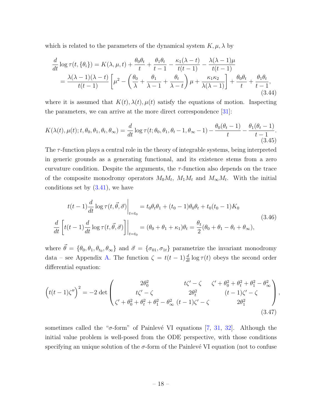which is related to the parameters of the dynamical system  $K, \mu, \lambda$  by

$$
\frac{d}{dt}\log\tau(t,\{\theta_i\}) = K(\lambda,\mu,t) + \frac{\theta_0\theta_t}{t} + \frac{\theta_1\theta_t}{t-1} - \frac{\kappa_1(\lambda-t)}{t(t-1)} - \frac{\lambda(\lambda-1)\mu}{t(t-1)}
$$
\n
$$
= \frac{\lambda(\lambda-1)(\lambda-t)}{t(t-1)}\left[\mu^2 - \left(\frac{\theta_0}{\lambda} + \frac{\theta_1}{\lambda-1} + \frac{\theta_t}{\lambda-t}\right)\mu + \frac{\kappa_1\kappa_2}{\lambda(\lambda-1)}\right] + \frac{\theta_0\theta_t}{t} + \frac{\theta_1\theta_t}{t-1},\tag{3.44}
$$

where it is assumed that  $K(t)$ ,  $\lambda(t)$ ,  $\mu(t)$  satisfy the equations of motion. Inspecting the parameters, we can arrive at the more direct correspondence [\[31\]](#page-33-11):

$$
K(\lambda(t), \mu(t); t, \theta_0, \theta_1, \theta_t, \theta_\infty) = \frac{d}{dt} \log \tau(t; \theta_0, \theta_1, \theta_t - 1, \theta_\infty - 1) - \frac{\theta_0(\theta_t - 1)}{t} - \frac{\theta_1(\theta_t - 1)}{t - 1}.
$$
\n(3.45)

The  $\tau$ -function plays a central role in the theory of integrable systems, being interpreted in generic grounds as a generating functional, and its existence stems from a zero curvature condition. Despite the arguments, the  $\tau$ -function also depends on the trace of the composite monodromy operators  $M_0M_t$ ,  $M_1M_t$  and  $M_{\infty}M_t$ . With the initial conditions set by  $(3.41)$ , we have

<span id="page-18-0"></span>
$$
t(t-1)\frac{d}{dt}\log \tau(t,\vec{\theta},\vec{\sigma})\Big|_{t=t_0} = t_0\theta_t\theta_1 + (t_0 - 1)\theta_0\theta_t + t_0(t_0 - 1)K_0
$$
  

$$
\frac{d}{dt}\left[t(t-1)\frac{d}{dt}\log \tau(t,\vec{\theta},\vec{\sigma})\right]\Big|_{t=t_0} = (\theta_0 + \theta_1 + \kappa_1)\theta_t = \frac{\theta_t}{2}(\theta_0 + \theta_1 - \theta_t + \theta_\infty),
$$
\n(3.46)

where  $\vec{\theta} = \{\theta_0, \theta_1, \theta_{t_0}, \theta_{\infty}\}\$  and  $\vec{\sigma} = \{\sigma_{01}, \sigma_{1t}\}\$  parametrize the invariant monodromy data – see Appendix [A.](#page-26-0) The function  $\zeta = t(t-1)\frac{d}{dt}\log \tau(t)$  obeys the second order differential equation:

$$
(t(t-1)\zeta'')^{2} = -2 \det \begin{pmatrix} 2\theta_{0}^{2} & t\zeta' - \zeta & \zeta' + \theta_{0}^{2} + \theta_{t}^{2} + \theta_{1}^{2} - \theta_{\infty}^{2} \\ t\zeta' - \zeta & 2\theta_{t}^{2} & (t-1)\zeta' - \zeta \\ \zeta' + \theta_{0}^{2} + \theta_{t}^{2} + \theta_{1}^{2} - \theta_{\infty}^{2} & (t-1)\zeta' - \zeta & 2\theta_{1}^{2} \end{pmatrix},
$$
\n(3.47)

sometimes called the " $\sigma$ -form" of Painlevé VI equations [\[7,](#page-32-0) [31,](#page-33-11) [32\]](#page-33-12). Although the initial value problem is well-posed from the ODE perspective, with those conditions specifying an unique solution of the  $\sigma$ -form of the Painlevé VI equation (not to confuse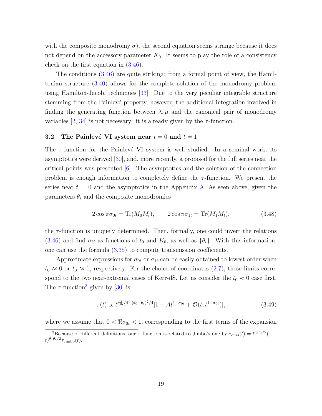with the composite monodromy  $\sigma$ , the second equation seems strange because it does not depend on the accessory parameter  $K_0$ . It seems to play the role of a consistency check on the first equation in [\(3.46\)](#page-18-0).

The conditions [\(3.46\)](#page-18-0) are quite striking: from a formal point of view, the Hamiltonian structure [\(3.40\)](#page-17-0) allows for the complete solution of the monodromy problem using Hamilton-Jacobi techniques [\[33\]](#page-33-13). Due to the very peculiar integrable structure stemming from the Painlevé property, however, the additional integration involved in finding the generating function between  $\lambda, \mu$  and the canonical pair of monodromy variables  $[2, 34]$  $[2, 34]$  is not necessary: it is already given by the  $\tau$ -function.

#### <span id="page-19-0"></span>3.2 The Painlevé VI system near  $t = 0$  and  $t = 1$

The  $\tau$ -function for the Painlevé VI system is well studied. In a seminal work, its asymptotics were derived [\[30\]](#page-33-10), and, more recently, a proposal for the full series near the critical points was presented [\[6\]](#page-31-4). The asymptotics and the solution of the connection problem is enough information to completely define the  $\tau$ -function. We present the series near  $t = 0$  and the asymptotics in the Appendix [A.](#page-26-0) As seen above, given the parameters  $\theta_i$  and the composite monodromies

$$
2\cos\pi\sigma_{0t} = \text{Tr}(M_0M_t), \qquad 2\cos\pi\sigma_{1t} = \text{Tr}(M_1M_t), \qquad (3.48)
$$

the  $\tau$ -function is uniquely determined. Then, formally, one could invert the relations  $(3.46)$  and find  $\sigma_{ij}$  as functions of  $t_0$  and  $K_0$ , as well as  $\{\theta_i\}$ . With this information, one can use the formula [\(3.35\)](#page-15-3) to compute transmission coefficients.

Approximate expressions for  $\sigma_{0t}$  or  $\sigma_{1t}$  can be easily obtained to lowest order when  $t_0 \approx 0$  or  $t_0 \approx 1$ , respectively. For the choice of coordinates [\(2.7\)](#page-7-4), these limits correspond to the two near-extremal cases of Kerr-dS. Let us consider the  $t_0 \approx 0$  case first. The  $\tau$ -function<sup>[3](#page-0-0)</sup> given by [\[30\]](#page-33-10) is

$$
\tau(t) \propto t^{\sigma_{0t}^2/4 - (\theta_0 - \theta_t)^2/4} [1 + At^{1 - \sigma_{0t}} + \mathcal{O}(t, t^{1 + \sigma_{0t}})],
$$
\n(3.49)

where we assume that  $0 < \Re \sigma_{0t} < 1$ , corresponding to the first terms of the expansion

<sup>&</sup>lt;sup>3</sup>Because of different definitions, our  $\tau$  function is related to Jimbo's one by  $\tau_{\text{ours}}(t) = t^{\theta_0 \theta_t/2} (1-t^{\theta_1 t})$  $(t)^{\theta_1\theta_t/2}\tau_{\text{Jimbo}}(t).$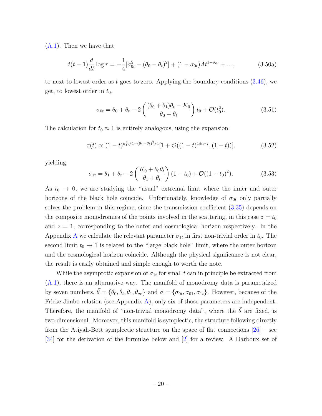[\(A.1\)](#page-26-1). Then we have that

$$
t(t-1)\frac{d}{dt}\log\tau = -\frac{1}{4}[\sigma_{0t}^2 - (\theta_0 - \theta_t)^2] + (1 - \sigma_{0t})At^{1-\sigma_{0t}} + \dots,
$$
 (3.50a)

to next-to-lowest order as t goes to zero. Applying the boundary conditions  $(3.46)$ , we get, to lowest order in  $t_0$ ,

<span id="page-20-0"></span>
$$
\sigma_{0t} = \theta_0 + \theta_t - 2\left(\frac{(\theta_0 + \theta_1)\theta_t - K_0}{\theta_0 + \theta_t}\right)t_0 + \mathcal{O}(t_0^2).
$$
 (3.51)

The calculation for  $t_0 \approx 1$  is entirely analogous, using the expansion:

$$
\tau(t) \propto (1-t)^{\sigma_{1t}^2/4 - (\theta_1 - \theta_t)^2/4} [1 + \mathcal{O}((1-t)^{1 \pm \sigma_{1t}}, (1-t))], \tag{3.52}
$$

yielding

$$
\sigma_{1t} = \theta_1 + \theta_t - 2\left(\frac{K_0 + \theta_0 \theta_t}{\theta_1 + \theta_t}\right)(1 - t_0) + \mathcal{O}((1 - t_0)^2). \tag{3.53}
$$

As  $t_0 \rightarrow 0$ , we are studying the "usual" extremal limit where the inner and outer horizons of the black hole coincide. Unfortunately, knowledge of  $\sigma_{0t}$  only partially solves the problem in this regime, since the transmission coefficient [\(3.35\)](#page-15-3) depends on the composite monodromies of the points involved in the scattering, in this case  $z = t_0$ and  $z = 1$ , corresponding to the outer and cosmological horizon respectively. In the [A](#page-26-0)ppendix A we calculate the relevant parameter  $\sigma_{1t}$  in first non-trivial order in  $t_0$ . The second limit  $t_0 \rightarrow 1$  is related to the "large black hole" limit, where the outer horizon and the cosmological horizon coincide. Although the physical significance is not clear, the result is easily obtained and simple enough to worth the note.

While the asymptotic expansion of  $\sigma_{1t}$  for small t can in principle be extracted from [\(A.1\)](#page-26-1), there is an alternative way. The manifold of monodromy data is parametrized by seven numbers,  $\vec{\theta} = {\theta_0, \theta_t, \theta_1, \theta_\infty}$  and  $\vec{\sigma} = {\sigma_{0t}, \sigma_{01}, \sigma_{1t}}$ . However, because of the Fricke-Jimbo relation (see Appendix [A\)](#page-26-0), only six of those parameters are independent. Therefore, the manifold of "non-trivial monodromy data", where the  $\vec{\theta}$  are fixed, is two-dimensional. Moreover, this manifold is symplectic, the structure following directly from the Atiyah-Bott symplectic structure on the space of flat connections [\[26\]](#page-33-6) – see [\[34\]](#page-33-14) for the derivation of the formulae below and [\[2\]](#page-31-1) for a review. A Darboux set of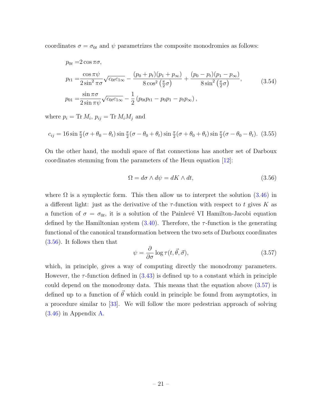coordinates  $\sigma = \sigma_{0t}$  and  $\psi$  parametrizes the composite monodromies as follows:

$$
p_{0t} = 2 \cos \pi \sigma,
$$
  
\n
$$
p_{t1} = \frac{\cos \pi \psi}{2 \sin^2 \pi \sigma} \sqrt{c_{0t} c_{1\infty}} - \frac{(p_0 + p_t)(p_1 + p_\infty)}{8 \cos^2 \left(\frac{\pi}{2} \sigma\right)} + \frac{(p_0 - p_t)(p_1 - p_\infty)}{8 \sin^2 \left(\frac{\pi}{2} \sigma\right)},
$$
\n
$$
p_{01} = \frac{\sin \pi \sigma}{2 \sin \pi \psi} \sqrt{c_{0t} c_{1\infty}} - \frac{1}{2} (p_{0t} p_{t1} - p_0 p_1 - p_t p_\infty),
$$
\n(3.54)

where  $p_i = \text{Tr } M_i$ ,  $p_{ij} = \text{Tr } M_i M_j$  and

$$
c_{ij} = 16\sin\frac{\pi}{2}(\sigma + \theta_0 - \theta_t)\sin\frac{\pi}{2}(\sigma - \theta_0 + \theta_t)\sin\frac{\pi}{2}(\sigma + \theta_0 + \theta_t)\sin\frac{\pi}{2}(\sigma - \theta_0 - \theta_t). (3.55)
$$

On the other hand, the moduli space of flat connections has another set of Darboux coordinates stemming from the parameters of the Heun equation [\[12\]](#page-32-8):

<span id="page-21-0"></span>
$$
\Omega = d\sigma \wedge d\psi = dK \wedge dt,\tag{3.56}
$$

where  $\Omega$  is a symplectic form. This then allow us to interpret the solution [\(3.46\)](#page-18-0) in a different light: just as the derivative of the  $\tau$ -function with respect to t gives K as a function of  $\sigma = \sigma_{0t}$ , it is a solution of the Painlevé VI Hamilton-Jacobi equation defined by the Hamiltonian system  $(3.40)$ . Therefore, the  $\tau$ -function is the generating functional of the canonical transformation between the two sets of Darboux coordinates [\(3.56\)](#page-21-0). It follows then that

<span id="page-21-1"></span>
$$
\psi = \frac{\partial}{\partial \sigma} \log \tau(t, \vec{\theta}, \vec{\sigma}), \tag{3.57}
$$

which, in principle, gives a way of computing directly the monodromy parameters. However, the  $\tau$ -function defined in  $(3.43)$  is defined up to a constant which in principle could depend on the monodromy data. This means that the equation above  $(3.57)$  is defined up to a function of  $\vec{\theta}$  which could in principle be found from asymptotics, in a procedure similar to [\[33\]](#page-33-13). We will follow the more pedestrian approach of solving  $(3.46)$  in Appendix [A.](#page-26-0)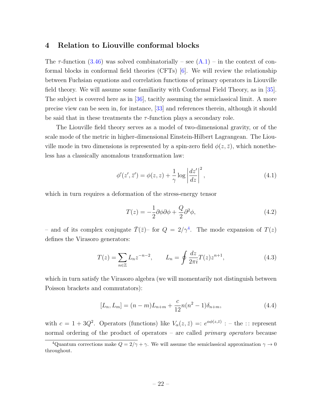## <span id="page-22-0"></span>4 Relation to Liouville conformal blocks

The  $\tau$ -function [\(3.46\)](#page-18-0) was solved combinatorially – see [\(A.1\)](#page-26-1) – in the context of conformal blocks in conformal field theories (CFTs) [\[6\]](#page-31-4). We will review the relationship between Fuchsian equations and correlation functions of primary operators in Liouville field theory. We will assume some familiarity with Conformal Field Theory, as in [\[35\]](#page-34-0). The subject is covered here as in [\[36\]](#page-34-1), tacitly assuming the semiclassical limit. A more precise view can be seen in, for instance, [\[33\]](#page-33-13) and references therein, although it should be said that in these treatments the  $\tau$ -function plays a secondary role.

The Liouville field theory serves as a model of two-dimensional gravity, or of the scale mode of the metric in higher-dimensional Einstein-Hilbert Lagrangean. The Liouville mode in two dimensions is represented by a spin-zero field  $\phi(z,\bar{z})$ , which nonetheless has a classically anomalous transformation law:

$$
\phi'(z', \bar{z}') = \phi(z, z) + \frac{1}{\gamma} \log \left| \frac{dz'}{dz} \right|^2,\tag{4.1}
$$

which in turn requires a deformation of the stress-energy tensor

$$
T(z) = -\frac{1}{2}\partial\phi\partial\phi + \frac{Q}{2}\partial^2\phi,
$$
\n(4.2)

– and of its complex conjugate  $\overline{T}(\overline{z})$ – for  $Q = 2/\gamma^4$  $Q = 2/\gamma^4$ . The mode expansion of  $T(z)$ defines the Virasoro generators:

<span id="page-22-1"></span>
$$
T(z) = \sum_{n \in \mathbb{Z}} L_n z^{-n-2}, \qquad L_n = \oint \frac{dz}{2\pi i} T(z) z^{n+1}, \tag{4.3}
$$

which in turn satisfy the Virasoro algebra (we will momentarily not distinguish between Poisson brackets and commutators):

$$
[L_n, L_m] = (n - m)L_{n+m} + \frac{c}{12}n(n^2 - 1)\delta_{n+m},
$$
\n(4.4)

with  $c = 1 + 3Q^2$ . Operators (functions) like  $V_{\alpha}(z, \bar{z}) =: e^{\alpha \phi(z, \bar{z})}$ : - the :: represent normal ordering of the product of operators – are called *primary operators* because

<sup>&</sup>lt;sup>4</sup>Quantum corrections make  $Q = 2/\gamma + \gamma$ . We will assume the semiclassical approximation  $\gamma \to 0$ throughout.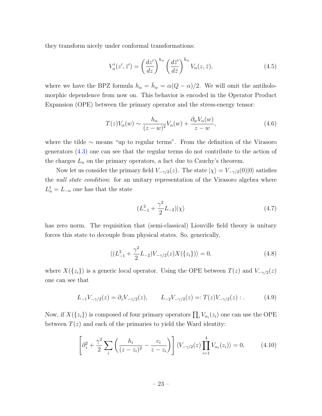they transform nicely under conformal transformations:

$$
V'_{\alpha}(z',\bar{z}') = \left(\frac{dz'}{dz}\right)^{h_{\alpha}} \left(\frac{d\bar{z}'}{d\bar{z}}\right)^{\bar{h}_{\alpha}} V_{\alpha}(z,\bar{z}),\tag{4.5}
$$

where we have the BPZ formula  $h_{\alpha} = \bar{h}_{\alpha} = \alpha(Q - \alpha)/2$ . We will omit the antiholomorphic dependence from now on. This behavior is encoded in the Operator Product Expansion (OPE) between the primary operator and the stress-energy tensor:

$$
T(z)V_{\alpha}(w) \sim \frac{h_{\alpha}}{(z-w)^2}V_{\alpha}(w) + \frac{\partial_w V_{\alpha}(w)}{z-w},\tag{4.6}
$$

where the tilde  $\sim$  means "up to regular terms". From the definition of the Virasoro generators [\(4.3\)](#page-22-1) one can see that the regular terms do not contribute to the action of the charges  $L_n$  on the primary operators, a fact due to Cauchy's theorem.

Now let us consider the primary field  $V_{-\gamma/2}(z)$ . The state  $|\chi\rangle = V_{-\gamma/2}(0)|0\rangle$  satisfies the *null state condition*: for an unitary representation of the Virasoro algebra where  $L_n^{\dagger} = L_{-n}$  one has that the state

$$
(L_{-1}^2 + \frac{\gamma^2}{2}L_{-2})|\chi\rangle \tag{4.7}
$$

has zero norm. The requisition that (semi-classical) Liouville field theory is unitary forces this state to decouple from physical states. So, generically,

$$
\langle (L_{-1}^2 + \frac{\gamma^2}{2} L_{-2})V_{-\gamma/2}(z)X(\{z_i\}) \rangle = 0, \tag{4.8}
$$

where  $X({z_i})$  is a generic local operator. Using the OPE between  $T(z)$  and  $V_{-\gamma/2}(z)$ one can see that

$$
L_{-1}V_{-\gamma/2}(z) = \partial_z V_{-\gamma/2}(z), \qquad L_{-2}V_{-\gamma/2}(z) =: T(z)V_{-\gamma/2}(z) : . \tag{4.9}
$$

Now, if  $X(\{z_i\})$  is composed of four primary operators  $\prod_i V_{\alpha_i}(z_i)$  one can use the OPE between  $T(z)$  and each of the primaries to yield the Ward identity:

<span id="page-23-0"></span>
$$
\left[\partial_z^2 + \frac{\gamma^2}{2} \sum_i \left(\frac{h_i}{(z-z_i)^2} - \frac{c_i}{z-z_i}\right)\right] \langle V_{-\gamma/2}(z) \prod_{i=1}^4 V_{\alpha_i}(z_i) \rangle = 0, \quad (4.10)
$$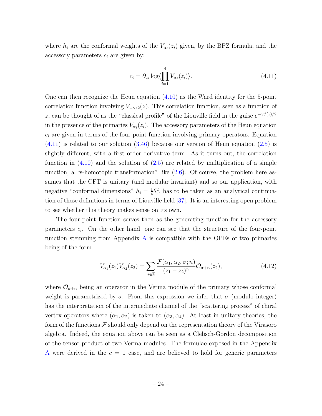where  $h_i$  are the conformal weights of the  $V_{\alpha_i}(z_i)$  given, by the BPZ formula, and the accessory parameters  $c_i$  are given by:

<span id="page-24-0"></span>
$$
c_i = \partial_{z_i} \log \langle \prod_{i=1}^4 V_{\alpha_i}(z_i) \rangle.
$$
\n(4.11)

One can then recognize the Heun equation [\(4.10\)](#page-23-0) as the Ward identity for the 5-point correlation function involving  $V_{-\gamma/2}(z)$ . This correlation function, seen as a function of z, can be thought of as the "classical profile" of the Liouville field in the guise  $e^{-\gamma \phi(z)/2}$ in the presence of the primaries  $V_{\alpha_i}(z_i)$ . The accessory parameters of the Heun equation  $c_i$  are given in terms of the four-point function involving primary operators. Equation  $(4.11)$  is related to our solution  $(3.46)$  because our version of Heun equation  $(2.5)$  is slightly different, with a first order derivative term. As it turns out, the correlation function in  $(4.10)$  and the solution of  $(2.5)$  are related by multiplication of a simple function, a "s-homotopic transformation" like [\(2.6\)](#page-7-3). Of course, the problem here assumes that the CFT is unitary (and modular invariant) and so our application, with negative "conformal dimensions"  $h_i = \frac{1}{4}$  $\frac{1}{4}\theta_i^2$ , has to be taken as an analytical continuation of these definitions in terms of Liouville field [\[37\]](#page-34-2). It is an interesting open problem to see whether this theory makes sense on its own.

The four-point function serves then as the generating function for the accessory parameters  $c_i$ . On the other hand, one can see that the structure of the four-point function stemming from Appendix [A](#page-26-0) is compatible with the OPEs of two primaries being of the form

$$
V_{\alpha_1}(z_1)V_{\alpha_2}(z_2) = \sum_{n \in \mathbb{Z}} \frac{\mathcal{F}(\alpha_1, \alpha_2, \sigma; n)}{(z_1 - z_2)^n} \mathcal{O}_{\sigma + n}(z_2),\tag{4.12}
$$

where  $\mathcal{O}_{\sigma+n}$  being an operator in the Verma module of the primary whose conformal weight is parametrized by  $\sigma$ . From this expression we infer that  $\sigma$  (modulo integer) has the interpretation of the intermediate channel of the "scattering process" of chiral vertex operators where  $(\alpha_1, \alpha_2)$  is taken to  $(\alpha_3, \alpha_4)$ . At least in unitary theories, the form of the functions  $\mathcal F$  should only depend on the representation theory of the Virasoro algebra. Indeed, the equation above can be seen as a Clebsch-Gordon decomposition of the tensor product of two Verma modules. The formulae exposed in the Appendix [A](#page-26-0) were derived in the  $c = 1$  case, and are believed to hold for generic parameters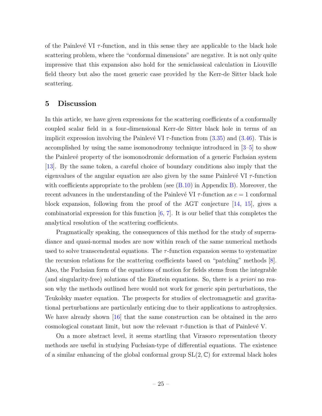of the Painlevé VI  $\tau$ -function, and in this sense they are applicable to the black hole scattering problem, where the "conformal dimensions" are negative. It is not only quite impressive that this expansion also hold for the semiclassical calculation in Liouville field theory but also the most generic case provided by the Kerr-de Sitter black hole scattering.

## <span id="page-25-0"></span>5 Discussion

In this article, we have given expressions for the scattering coefficients of a conformally coupled scalar field in a four-dimensional Kerr-de Sitter black hole in terms of an implicit expression involving the Painlevé VI  $\tau$ -function from [\(3.35\)](#page-15-3) and [\(3.46\)](#page-18-0). This is accomplished by using the same isomonodromy technique introduced in [\[3–](#page-31-2)[5\]](#page-31-3) to show the Painlevé property of the isomonodromic deformation of a generic Fuchsian system [\[13\]](#page-32-5). By the same token, a careful choice of boundary conditions also imply that the eigenvalues of the angular equation are also given by the same Painlevé VI  $\tau$ -function with coefficients appropriate to the problem (see  $(B.10)$  in Appendix [B\)](#page-29-0). Moreover, the recent advances in the understanding of the Painlevé VI  $\tau$ -function as  $c = 1$  conformal block expansion, following from the proof of the AGT conjecture [\[14,](#page-32-6) [15\]](#page-32-7), gives a combinatorial expression for this function  $[6, 7]$  $[6, 7]$ . It is our belief that this completes the analytical resolution of the scattering coefficients.

Pragmatically speaking, the consequences of this method for the study of superradiance and quasi-normal modes are now within reach of the same numerical methods used to solve transcendental equations. The  $\tau$ -function expansion seems to systematize the recursion relations for the scattering coefficients based on "patching" methods [\[8\]](#page-32-1). Also, the Fuchsian form of the equations of motion for fields stems from the integrable (and singularity-free) solutions of the Einstein equations. So, there is a priori no reason why the methods outlined here would not work for generic spin perturbations, the Teukolsky master equation. The prospects for studies of electromagnetic and gravitational perturbations are particularly enticing due to their applications to astrophysics. We have already shown [\[16\]](#page-32-9) that the same construction can be obtained in the zero cosmological constant limit, but now the relevant  $\tau$ -function is that of Painlevé V.

On a more abstract level, it seems startling that Virasoro representation theory methods are useful in studying Fuchsian-type of differential equations. The existence of a similar enhancing of the global conformal group  $SL(2, \mathbb{C})$  for extremal black holes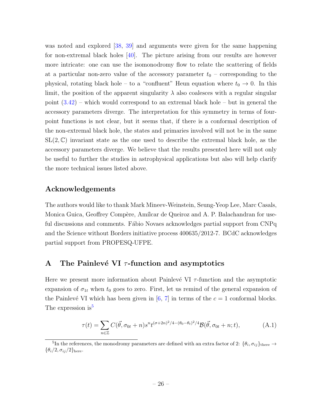was noted and explored [\[38,](#page-34-3) [39\]](#page-34-4) and arguments were given for the same happening for non-extremal black holes  $[40]$ . The picture arising from our results are however more intricate: one can use the isomonodromy flow to relate the scattering of fields at a particular non-zero value of the accessory parameter  $t_0$  – corresponding to the physical, rotating black hole – to a "confluent" Heun equation where  $t_0 \rightarrow 0$ . In this limit, the position of the apparent singularity  $\lambda$  also coalesces with a regular singular point [\(3.42\)](#page-17-3) – which would correspond to an extremal black hole – but in general the accessory parameters diverge. The interpretation for this symmetry in terms of fourpoint functions is not clear, but it seems that, if there is a conformal description of the non-extremal black hole, the states and primaries involved will not be in the same  $SL(2,\mathbb{C})$  invariant state as the one used to describe the extremal black hole, as the accessory parameters diverge. We believe that the results presented here will not only be useful to further the studies in astrophysical applications but also will help clarify the more technical issues listed above.

# Acknowledgements

The authors would like to thank Mark Mineev-Weinstein, Seung-Yeop Lee, Marc Casals, Monica Guica, Geoffrey Compère, Amílcar de Queiroz and A. P. Balachandran for useful discussions and comments. Fábio Novaes acknowledges partial support from CNPq and the Science without Borders initiative process 400635/2012-7. BCdC acknowledges partial support from PROPESQ-UFPE.

# <span id="page-26-0"></span>A The Painlevé VI  $\tau$ -function and asymptotics

Here we present more information about Painlevé VI  $\tau$ -function and the asymptotic expansion of  $\sigma_{1t}$  when  $t_0$  goes to zero. First, let us remind of the general expansion of the Painlevé VI which has been given in [\[6,](#page-31-4) [7\]](#page-32-0) in terms of the  $c = 1$  conformal blocks. The expression is<sup>[5](#page-0-0)</sup>

<span id="page-26-1"></span>
$$
\tau(t) = \sum_{n \in \mathbb{Z}} C(\vec{\theta}, \sigma_{0t} + n) s^n t^{(\sigma + 2n)^2/4 - (\theta_0 - \theta_t)^2/4} \mathcal{B}(\vec{\theta}, \sigma_{0t} + n; t), \tag{A.1}
$$

<sup>&</sup>lt;sup>5</sup>In the references, the monodromy parameters are defined with an extra factor of 2:  $\{\theta_i, \sigma_{ij}\}$ <sub>there</sub>  $\rightarrow$  $\{\theta_i/2, \sigma_{ij}/2\}_{\text{here}}$ .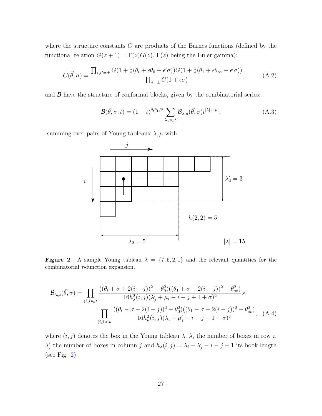where the structure constants  $C$  are products of the Barnes functions (defined by the functional relation  $G(z + 1) = \Gamma(z)G(z)$ ,  $\Gamma(z)$  being the Euler gamma):

$$
C(\vec{\theta}, \sigma) = \frac{\prod_{\epsilon, \epsilon' = \pm} G(1 + \frac{1}{2}(\theta_t + \epsilon \theta_0 + \epsilon' \sigma))G(1 + \frac{1}{2}(\theta_1 + \epsilon \theta_\infty + \epsilon' \sigma))}{\prod_{\epsilon = \pm} G(1 + \epsilon \sigma)},
$$
(A.2)

and  $\beta$  have the structure of conformal blocks, given by the combinatorial series:

$$
\mathcal{B}(\vec{\theta}, \sigma; t) = (1 - t)^{\theta_t \theta_1 / 2} \sum_{\lambda, \mu \in \lambda} \mathcal{B}_{\lambda, \mu}(\vec{\theta}, \sigma) t^{|\lambda| + |\mu|}, \tag{A.3}
$$

summing over pairs of Young tableaux  $\lambda, \mu$  with



<span id="page-27-0"></span>Figure 2. A sample Young tableau  $\lambda = \{7, 5, 2, 1\}$  and the relevant quantities for the combinatorial  $\tau$ -function expansion.

$$
\mathcal{B}_{\lambda,\mu}(\vec{\theta},\sigma) = \prod_{(i,j)\in\lambda} \frac{((\theta_t + \sigma + 2(i-j))^2 - \theta_0^2)((\theta_1 + \sigma + 2(i-j))^2 - \theta_\infty^2)}{16h_\lambda^2(i,j)(\lambda_j' + \mu_i - i - j + 1 + \sigma)^2} \times \prod_{(i,j)\in\mu} \frac{((\theta_t - \sigma + 2(i-j))^2 - \theta_0^2)((\theta_1 - \sigma + 2(i-j))^2 - \theta_\infty^2)}{16h_\mu^2(i,j)(\lambda_i + \mu_j' - i - j + 1 - \sigma)^2}, \quad (A.4)
$$

where  $(i, j)$  denotes the box in the Young tableau  $\lambda$ ,  $\lambda_i$  the number of boxes in row i,  $\lambda'_j$  the number of boxes in column j and  $h_\lambda(i,j) = \lambda_i + \lambda'_j - i - j + 1$  its hook length (see Fig. [2\)](#page-27-0).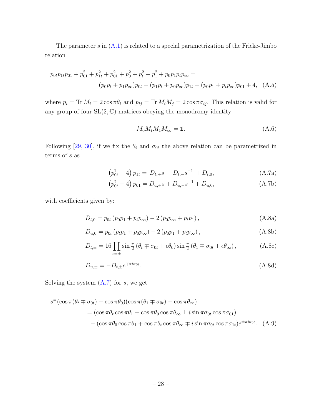The parameter  $s$  in  $(A.1)$  is related to a special parametrization of the Fricke-Jimbo relation

$$
p_{0t}p_{1t}p_{01} + p_{01}^2 + p_{1t}^2 + p_{01}^2 + p_0^2 + p_t^2 + p_1^2 + p_0p_1p_tp_\infty =
$$
  

$$
(p_0p_t + p_1p_\infty)p_{0t} + (p_1p_t + p_0p_\infty)p_{1t} + (p_0p_1 + p_tp_\infty)p_{01} + 4, \quad (A.5)
$$

where  $p_i = \text{Tr } M_i = 2 \cos \pi \theta_i$  and  $p_{ij} = \text{Tr } M_i M_j = 2 \cos \pi \sigma_{ij}$ . This relation is valid for any group of four  $SL(2, \mathbb{C})$  matrices obeying the monodromy identity

$$
M_0 M_t M_1 M_\infty = \mathbb{1}.\tag{A.6}
$$

Following [\[29,](#page-33-9) [30\]](#page-33-10), if we fix the  $\theta_i$  and  $\sigma_{0t}$  the above relation can be parametrized in terms of s as

<span id="page-28-0"></span>
$$
(p_{0t}^2 - 4) p_{1t} = D_{t,+} s + D_{t,-} s^{-1} + D_{t,0}, \qquad (A.7a)
$$

$$
\left(p_{0t}^2 - 4\right)p_{01} = D_{u,+}s + D_{u,-}s^{-1} + D_{u,0},\tag{A.7b}
$$

with coefficients given by:

$$
D_{t,0} = p_{0t} (p_0 p_1 + p_t p_\infty) - 2 (p_0 p_\infty + p_t p_1), \qquad (A.8a)
$$

$$
D_{u,0} = p_{0t} (p_t p_1 + p_0 p_\infty) - 2 (p_0 p_1 + p_t p_\infty), \qquad (A.8b)
$$

$$
D_{t,\pm} = 16 \prod_{\epsilon=\pm} \sin \frac{\pi}{2} \left( \theta_t \mp \sigma_{0t} + \epsilon \theta_0 \right) \sin \frac{\pi}{2} \left( \theta_1 \mp \sigma_{0t} + \epsilon \theta_\infty \right), \tag{A.8c}
$$

$$
D_{u,\pm} = -D_{t,\pm}e^{\mp \pi i \sigma_{0t}}.\tag{A.8d}
$$

Solving the system  $(A.7)$  for s, we get

$$
s^{\pm}(\cos \pi(\theta_t \mp \sigma_{0t}) - \cos \pi \theta_0)(\cos \pi(\theta_1 \mp \sigma_{0t}) - \cos \pi \theta_{\infty})
$$
  
=  $(\cos \pi \theta_t \cos \pi \theta_1 + \cos \pi \theta_0 \cos \pi \theta_{\infty} \pm i \sin \pi \sigma_{0t} \cos \pi \sigma_{01})$   
–  $(\cos \pi \theta_0 \cos \pi \theta_1 + \cos \pi \theta_t \cos \pi \theta_{\infty} \mp i \sin \pi \sigma_{0t} \cos \pi \sigma_{1t})e^{\pm \pi i \sigma_{0t}}.$  (A.9)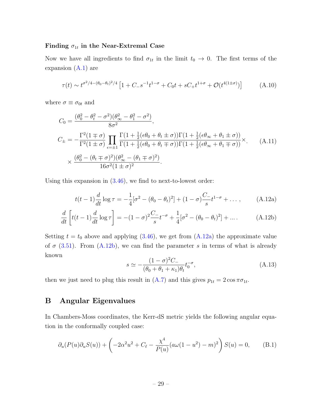# Finding  $\sigma_{1t}$  in the Near-Extremal Case

Now we have all ingredients to find  $\sigma_{1t}$  in the limit  $t_0 \to 0$ . The first terms of the expansion  $(A.1)$  are

$$
\tau(t) \sim t^{\sigma^2/4 - (\theta_0 - \theta_t)^2/4} \left[ 1 + C_- s^{-1} t^{1-\sigma} + C_0 t + sC_+ t^{1+\sigma} + \mathcal{O}(t^{4(1\pm\sigma)}) \right]
$$
(A.10)

where  $\sigma \equiv \sigma_{0t}$  and

$$
C_0 = \frac{(\theta_0^2 - \theta_t^2 - \sigma^2)(\theta_{\infty}^2 - \theta_1^2 - \sigma^2)}{8\sigma^2},
$$
  
\n
$$
C_{\pm} = -\frac{\Gamma^2(1 \mp \sigma)}{\Gamma^2(1 \pm \sigma)} \prod_{\epsilon=\pm 1} \frac{\Gamma(1 + \frac{1}{2}(\epsilon\theta_0 + \theta_t \pm \sigma))\Gamma(1 + \frac{1}{2}(\epsilon\theta_{\infty} + \theta_1 \pm \sigma))}{\Gamma(1 + \frac{1}{2}(\epsilon\theta_0 + \theta_t \mp \sigma))\Gamma(1 + \frac{1}{2}(\epsilon\theta_{\infty} + \theta_1 \mp \sigma))} \times.
$$
\n(A.11)  
\n
$$
\times \frac{(\theta_0^2 - (\theta_t \mp \sigma)^2)(\theta_{\infty}^2 - (\theta_1 \mp \sigma)^2)}{16\sigma^2(1 \pm \sigma)^2}.
$$

Using this expansion in  $(3.46)$ , we find to next-to-lowest order:

$$
t(t-1)\frac{d}{dt}\log\tau = -\frac{1}{4}[\sigma^2 - (\theta_0 - \theta_t)^2] + (1-\sigma)\frac{C}{s}t^{1-\sigma} + \dots,\tag{A.12a}
$$

$$
\frac{d}{dt}\left[t(t-1)\frac{d}{dt}\log\tau\right] = -(1-\sigma)^2 \frac{C_{-}}{s}t^{-\sigma} + \frac{1}{4}[\sigma^2 - (\theta_0 - \theta_t)^2] + \dots. \tag{A.12b}
$$

Setting  $t = t_0$  above and applying [\(3.46\)](#page-18-0), we get from [\(A.12a\)](#page-29-1) the approximate value of  $\sigma$  [\(3.51\)](#page-20-0). From [\(A.12b\)](#page-29-2), we can find the parameter s in terms of what is already known

<span id="page-29-2"></span><span id="page-29-1"></span>
$$
s \simeq -\frac{(1-\sigma)^2 C_-}{(\theta_0 + \theta_1 + \kappa_1)\theta_t} t_0^{-\sigma},
$$
\n(A.13)

then we just need to plug this result in  $(A.7)$  and this gives  $p_{1t} = 2 \cos \pi \sigma_{1t}$ .

# <span id="page-29-0"></span>B Angular Eigenvalues

In Chambers-Moss coordinates, the Kerr-dS metric yields the following angular equation in the conformally coupled case:

$$
\partial_u(P(u)\partial_u S(u)) + \left(-2\alpha^2 u^2 + C_\ell - \frac{\chi^4}{P(u)}(a\omega(1-u^2) - m)^2\right)S(u) = 0,\tag{B.1}
$$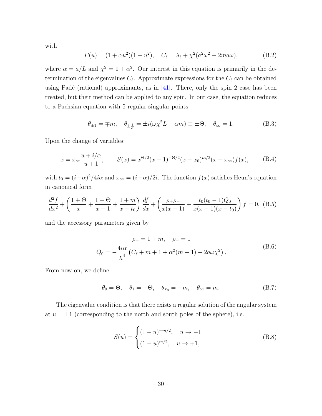with

$$
P(u) = (1 + \alpha u^2)(1 - u^2), \quad C_{\ell} = \lambda_{\ell} + \chi^2(a^2 \omega^2 - 2m a \omega), \tag{B.2}
$$

where  $\alpha = a/L$  and  $\chi^2 = 1 + \alpha^2$ . Our interest in this equation is primarily in the determination of the eigenvalues  $C_{\ell}$ . Approximate expressions for the  $C_{\ell}$  can be obtained using Padé (rational) approximants, as in  $[41]$ . There, only the spin 2 case has been treated, but their method can be applied to any spin. In our case, the equation reduces to a Fuchsian equation with 5 regular singular points:

$$
\theta_{\pm 1} = \mp m, \quad \theta_{\pm \frac{i}{\alpha}} = \pm i(\omega \chi^2 L - \alpha m) \equiv \pm \Theta, \quad \theta_{\infty} = 1.
$$
 (B.3)

Upon the change of variables:

$$
x = x_{\infty} \frac{u + i/\alpha}{u + 1}, \qquad S(x) = x^{\Theta/2} (x - 1)^{-\Theta/2} (x - x_0)^{m/2} (x - x_{\infty}) f(x), \qquad (B.4)
$$

with  $t_0 = (i+\alpha)^2/4i\alpha$  and  $x_\infty = (i+\alpha)/2i$ . The function  $f(x)$  satisfies Heun's equation in canonical form

<span id="page-30-0"></span>
$$
\frac{d^2f}{dx^2} + \left(\frac{1+\Theta}{x} + \frac{1-\Theta}{x-1} + \frac{1+m}{x-t_0}\right)\frac{df}{dx} + \left(\frac{\rho_+\rho_-}{x(x-1)} + \frac{t_0(t_0-1)Q_0}{x(x-1)(x-t_0)}\right)f = 0, \quad (B.5)
$$

and the accessory parameters given by

$$
\rho_{+} = 1 + m, \quad \rho_{-} = 1
$$
  
\n
$$
Q_{0} = -\frac{4i\alpha}{\chi^{4}} \left( C_{\ell} + m + 1 + \alpha^{2} (m - 1) - 2a\omega \chi^{2} \right).
$$
 (B.6)

From now on, we define

$$
\theta_0 = \Theta, \quad \theta_1 = -\Theta, \quad \theta_{x_0} = -m, \quad \theta_{\infty} = m. \tag{B.7}
$$

The eigenvalue condition is that there exists a regular solution of the angular system at  $u = \pm 1$  (corresponding to the north and south poles of the sphere), i.e.

<span id="page-30-1"></span>
$$
S(u) = \begin{cases} (1+u)^{-m/2}, & u \to -1 \\ (1-u)^{m/2}, & u \to +1, \end{cases}
$$
 (B.8)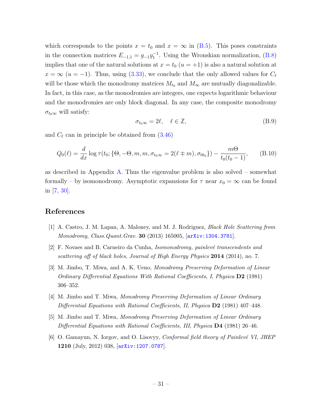which corresponds to the points  $x = t_0$  and  $x = \infty$  in [\(B.5\)](#page-30-0). This poses constraints in the connection matrices  $E_{-1,1} = g_{-1}g_1^{-1}$ . Using the Wronskian normalization, [\(B.8\)](#page-30-1) implies that one of the natural solutions at  $x = t_0$   $(u = +1)$  is also a natural solution at  $x = \infty$  (u = -1). Thus, using [\(3.33\)](#page-15-2), we conclude that the only allowed values for  $C_{\ell}$ will be those which the monodromy matrices  $M_{t_0}$  and  $M_{\infty}$  are mutually diagonalizable. In fact, in this case, as the monodromies are integers, one expects logarithmic behaviour and the monodromies are only block diagonal. In any case, the composite monodromy  $\sigma_{t_0\infty}$  will satisfy:

$$
\sigma_{t_0\infty} = 2\ell, \quad \ell \in \mathbb{Z},\tag{B.9}
$$

and  $C_{\ell}$  can in principle be obtained from  $(3.46)$ 

<span id="page-31-6"></span>
$$
Q_0(\ell) = \frac{d}{dx} \log \tau(t_0; \{\Theta, -\Theta, m, m, \sigma_{t_0 \infty} = 2(\ell \mp m), \sigma_{0t_0}\}) - \frac{m\Theta}{t_0(t_0 - 1)},
$$
(B.10)

as described in Appendix [A.](#page-26-0) Thus the eigenvalue problem is also solved  $-$  somewhat formally – by isomonodromy. Asymptotic expansions for  $\tau$  near  $x_0 = \infty$  can be found in [\[7,](#page-32-0) [30\]](#page-33-10).

## References

- <span id="page-31-0"></span>[1] A. Castro, J. M. Lapan, A. Maloney, and M. J. Rodriguez, Black Hole Scattering from Monodromy, Class.Quant.Grav. **30** (2013) 165005, [[arXiv:1304.3781](http://arxiv.org/abs/1304.3781)].
- <span id="page-31-1"></span>[2] F. Novaes and B. Carneiro da Cunha, *Isomonodromy, painlevé transcendents and* scattering off of black holes, Journal of High Energy Physics  $2014$  (2014), no. 7.
- <span id="page-31-2"></span>[3] M. Jimbo, T. Miwa, and A. K. Ueno, Monodromy Preserving Deformation of Linear Ordinary Differential Equations With Rational Coefficients, I, Physica D2 (1981) 306–352.
- <span id="page-31-5"></span>[4] M. Jimbo and T. Miwa, Monodromy Preserving Deformation of Linear Ordinary Differential Equations with Rational Coefficients, II, Physica  $D2$  (1981) 407–448.
- <span id="page-31-3"></span>[5] M. Jimbo and T. Miwa, Monodromy Preserving Deformation of Linear Ordinary Differential Equations with Rational Coefficients, III, Physica D4 (1981) 26–46.
- <span id="page-31-4"></span>[6] O. Gamayun, N. Iorgov, and O. Lisovyy, *Conformal field theory of Painlevé VI*, JHEP 1210 (July, 2012) 038, [[arXiv:1207.0787](http://arxiv.org/abs/1207.0787)].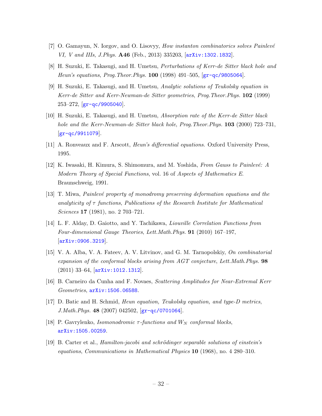- <span id="page-32-0"></span>[7] O. Gamayun, N. Iorgov, and O. Lisovyy, *How instanton combinatorics solves Painlevé* VI, V and IIIs, J.Phys. A46 (Feb., 2013) 335203, [[arXiv:1302.1832](http://arxiv.org/abs/1302.1832)].
- <span id="page-32-1"></span>[8] H. Suzuki, E. Takasugi, and H. Umetsu, Perturbations of Kerr-de Sitter black hole and Heun's equations, Prog. Theor. Phys.  $100$  (1998) 491–505,  $gr-qc/9805064$ .
- <span id="page-32-2"></span>[9] H. Suzuki, E. Takasugi, and H. Umetsu, Analytic solutions of Teukolsky equation in Kerr-de Sitter and Kerr-Newman-de Sitter geometries, Prog.Theor.Phys. 102 (1999)  $253-272$ ,  $[\text{gr-qc}/9905040]$ .
- <span id="page-32-3"></span>[10] H. Suzuki, E. Takasugi, and H. Umetsu, Absorption rate of the Kerr-de Sitter black hole and the Kerr-Newman-de Sitter black hole, Prog. Theor. Phys. 103 (2000) 723-731, [[gr-qc/9911079](http://arxiv.org/abs/gr-qc/9911079)].
- <span id="page-32-4"></span>[11] A. Ronveaux and F. Arscott, Heun's differential equations. Oxford University Press, 1995.
- <span id="page-32-8"></span>[12] K. Iwasaki, H. Kimura, S. Shimomura, and M. Yoshida, From Gauss to Painlevé: A Modern Theory of Special Functions, vol. 16 of Aspects of Mathematics E. Braunschweig, 1991.
- <span id="page-32-5"></span>[13] T. Miwa, Painlev´e property of monodromy preserving deformation equations and the analyticity of  $\tau$  functions, Publications of the Research Institute for Mathematical Sciences **17** (1981), no. 2 703–721.
- <span id="page-32-6"></span>[14] L. F. Alday, D. Gaiotto, and Y. Tachikawa, Liouville Correlation Functions from Four-dimensional Gauge Theories, Lett.Math.Phys. 91 (2010) 167–197, [[arXiv:0906.3219](http://arxiv.org/abs/0906.3219)].
- <span id="page-32-7"></span>[15] V. A. Alba, V. A. Fateev, A. V. Litvinov, and G. M. Tarnopolskiy, On combinatorial expansion of the conformal blocks arising from AGT conjecture, Lett.Math.Phys. 98 (2011) 33–64, [[arXiv:1012.1312](http://arxiv.org/abs/1012.1312)].
- <span id="page-32-9"></span>[16] B. Carneiro da Cunha and F. Novaes, Scattering Amplitudes for Near-Extremal Kerr Geometries, [arXiv:1506.06588](http://arxiv.org/abs/1506.06588).
- <span id="page-32-10"></span>[17] D. Batic and H. Schmid, Heun equation, Teukolsky equation, and type-D metrics, J.Math.Phys. 48 (2007) 042502, [[gr-qc/0701064](http://arxiv.org/abs/gr-qc/0701064)].
- <span id="page-32-11"></span>[18] P. Gavrylenko, *Isomonodromic*  $\tau$ -functions and  $W_N$  conformal blocks, [arXiv:1505.00259](http://arxiv.org/abs/1505.00259).
- <span id="page-32-12"></span>[19] B. Carter et al., Hamilton-jacobi and schrödinger separable solutions of einstein's equations, Communications in Mathematical Physics 10 (1968), no. 4 280–310.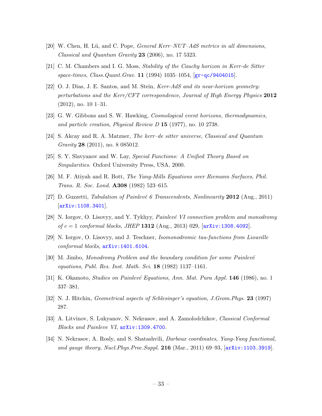- <span id="page-33-0"></span>[20] W. Chen, H. Lü, and C. Pope, *General Kerr–NUT–AdS metrics in all dimensions*, Classical and Quantum Gravity 23 (2006), no. 17 5323.
- <span id="page-33-1"></span>[21] C. M. Chambers and I. G. Moss, Stability of the Cauchy horizon in Kerr-de Sitter space-times, Class.Quant.Grav. 11 (1994) 1035-1054,  $g$ r-qc/9404015.
- <span id="page-33-2"></span>[22] O. J. Dias, J. E. Santos, and M. Stein, Kerr-AdS and its near-horizon geometry: perturbations and the Kerr/CFT correspondence, Journal of High Energy Physics 2012 (2012), no. 10 1–31.
- <span id="page-33-3"></span>[23] G. W. Gibbons and S. W. Hawking, Cosmological event horizons, thermodynamics, and particle creation, Physical Review D 15 (1977), no. 10 2738.
- <span id="page-33-4"></span>[24] S. Akcay and R. A. Matzner, The kerr–de sitter universe, Classical and Quantum Gravity 28 (2011), no. 8 085012.
- <span id="page-33-5"></span>[25] S. Y. Slavyanov and W. Lay, Special Functions: A Unified Theory Based on Singularities. Oxford University Press, USA, 2000.
- <span id="page-33-6"></span>[26] M. F. Atiyah and R. Bott, The Yang-Mills Equations over Riemann Surfaces, Phil. Trans. R. Soc. Lond. A308 (1982) 523–615.
- <span id="page-33-7"></span>[27] D. Guzzetti, Tabulation of Painlevé 6 Transcendents, Nonlinearity 2012 (Aug., 2011) [[arXiv:1108.3401](http://arxiv.org/abs/1108.3401)].
- <span id="page-33-8"></span>[28] N. Iorgov, O. Lisovyy, and Y. Tykhyy, *Painlevé VI connection problem and monodromy* of  $c = 1$  conformal blocks, JHEP 1312 (Aug., 2013) 029, [[arXiv:1308.4092](http://arxiv.org/abs/1308.4092)].
- <span id="page-33-9"></span>[29] N. Iorgov, O. Lisovyy, and J. Teschner, Isomonodromic tau-functions from Liouville conformal blocks, [arXiv:1401.6104](http://arxiv.org/abs/1401.6104).
- <span id="page-33-10"></span>[30] M. Jimbo, *Monodromy Problem and the boundary condition for some Painlevé* equations, Publ. Res. Inst. Math. Sci. 18 (1982) 1137–1161.
- <span id="page-33-11"></span>[31] K. Okamoto, *Studies on Painlevé Equations, Ann. Mat. Pura Appl.* **146** (1986), no. 1 337–381.
- <span id="page-33-12"></span>[32] N. J. Hitchin, Geometrical aspects of Schlesinger's equation, J.Geom.Phys. 23 (1997) 287.
- <span id="page-33-13"></span>[33] A. Litvinov, S. Lukyanov, N. Nekrasov, and A. Zamolodchikov, Classical Conformal Blocks and Painleve VI, [arXiv:1309.4700](http://arxiv.org/abs/1309.4700).
- <span id="page-33-14"></span>[34] N. Nekrasov, A. Rosly, and S. Shatashvili, Darboux coordinates, Yang-Yang functional, and gauge theory, Nucl.Phys.Proc.Suppl. 216 (Mar., 2011) 69–93,  $[array:1103.3919]$ .